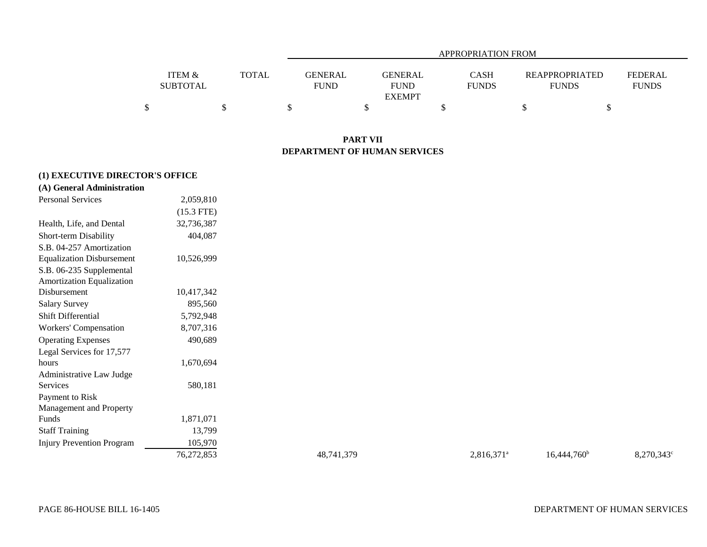|                   |              | APPROPRIATION FROM |                |              |                       |                |  |  |  |  |  |  |
|-------------------|--------------|--------------------|----------------|--------------|-----------------------|----------------|--|--|--|--|--|--|
|                   |              |                    |                |              |                       |                |  |  |  |  |  |  |
| <b>ITEM &amp;</b> | <b>TOTAL</b> | <b>GENERAL</b>     | <b>GENERAL</b> | <b>CASH</b>  | <b>REAPPROPRIATED</b> | <b>FEDERAL</b> |  |  |  |  |  |  |
| <b>SUBTOTAL</b>   |              | <b>FUND</b>        | <b>FUND</b>    | <b>FUNDS</b> | <b>FUNDS</b>          | <b>FUNDS</b>   |  |  |  |  |  |  |
|                   |              |                    | <b>EXEMPT</b>  |              |                       |                |  |  |  |  |  |  |
|                   |              |                    |                |              |                       |                |  |  |  |  |  |  |

## **PART VII DEPARTMENT OF HUMAN SERVICES**

## **(1) EXECUTIVE DIRECTOR'S OFFICE**

| (A) General Administration       |              |            |               |                |            |
|----------------------------------|--------------|------------|---------------|----------------|------------|
| Personal Services                | 2,059,810    |            |               |                |            |
|                                  | $(15.3$ FTE) |            |               |                |            |
| Health, Life, and Dental         | 32,736,387   |            |               |                |            |
| Short-term Disability            | 404,087      |            |               |                |            |
| S.B. 04-257 Amortization         |              |            |               |                |            |
| <b>Equalization Disbursement</b> | 10,526,999   |            |               |                |            |
| S.B. 06-235 Supplemental         |              |            |               |                |            |
| Amortization Equalization        |              |            |               |                |            |
| Disbursement                     | 10,417,342   |            |               |                |            |
| <b>Salary Survey</b>             | 895,560      |            |               |                |            |
| <b>Shift Differential</b>        | 5,792,948    |            |               |                |            |
| Workers' Compensation            | 8,707,316    |            |               |                |            |
| <b>Operating Expenses</b>        | 490,689      |            |               |                |            |
| Legal Services for 17,577        |              |            |               |                |            |
| hours                            | 1,670,694    |            |               |                |            |
| Administrative Law Judge         |              |            |               |                |            |
| Services                         | 580,181      |            |               |                |            |
| Payment to Risk                  |              |            |               |                |            |
| Management and Property          |              |            |               |                |            |
| Funds                            | 1,871,071    |            |               |                |            |
| <b>Staff Training</b>            | 13,799       |            |               |                |            |
| <b>Injury Prevention Program</b> | 105,970      |            |               |                |            |
|                                  | 76,272,853   | 48,741,379 | $2,816,371^a$ | $16,444,760^b$ | 8,270,343° |
|                                  |              |            |               |                |            |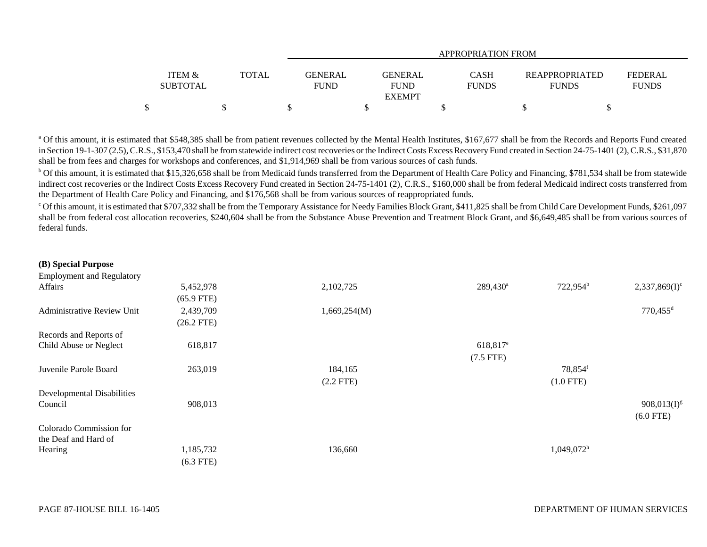|                 |       | APPROPRIATION FROM |                |              |                       |                |  |  |  |  |  |  |
|-----------------|-------|--------------------|----------------|--------------|-----------------------|----------------|--|--|--|--|--|--|
|                 |       |                    |                |              |                       |                |  |  |  |  |  |  |
| ITEM &          | TOTAL | <b>GENERAL</b>     | <b>GENERAL</b> | <b>CASH</b>  | <b>REAPPROPRIATED</b> | <b>FEDERAL</b> |  |  |  |  |  |  |
| <b>SUBTOTAL</b> |       | <b>FUND</b>        | <b>FUND</b>    | <b>FUNDS</b> | <b>FUNDS</b>          | <b>FUNDS</b>   |  |  |  |  |  |  |
|                 |       |                    | <b>EXEMPT</b>  |              |                       |                |  |  |  |  |  |  |
|                 |       |                    |                |              |                       |                |  |  |  |  |  |  |

<sup>a</sup> Of this amount, it is estimated that \$548,385 shall be from patient revenues collected by the Mental Health Institutes, \$167,677 shall be from the Records and Reports Fund created in Section 19-1-307 (2.5), C.R.S., \$153,470 shall be from statewide indirect cost recoveries or the Indirect Costs Excess Recovery Fund created in Section 24-75-1401 (2), C.R.S., \$31,870 shall be from fees and charges for workshops and conferences, and \$1,914,969 shall be from various sources of cash funds.

<sup>b</sup> Of this amount, it is estimated that \$15,326,658 shall be from Medicaid funds transferred from the Department of Health Care Policy and Financing, \$781,534 shall be from statewide indirect cost recoveries or the Indirect Costs Excess Recovery Fund created in Section 24-75-1401 (2), C.R.S., \$160,000 shall be from federal Medicaid indirect costs transferred from the Department of Health Care Policy and Financing, and \$176,568 shall be from various sources of reappropriated funds.

c Of this amount, it is estimated that \$707,332 shall be from the Temporary Assistance for Needy Families Block Grant, \$411,825 shall be from Child Care Development Funds, \$261,097 shall be from federal cost allocation recoveries, \$240,604 shall be from the Substance Abuse Prevention and Treatment Block Grant, and \$6,649,485 shall be from various sources of federal funds.

| 5,452,978    | 2,102,725    | $289,430^a$            | 722,954 <sup>b</sup>     | $2,337,869(I)^c$       |
|--------------|--------------|------------------------|--------------------------|------------------------|
| $(65.9$ FTE) |              |                        |                          |                        |
| 2,439,709    | 1,669,254(M) |                        |                          | $770,455$ <sup>d</sup> |
| $(26.2$ FTE) |              |                        |                          |                        |
|              |              |                        |                          |                        |
| 618,817      |              | $618,817$ <sup>e</sup> |                          |                        |
|              |              | $(7.5$ FTE)            |                          |                        |
| 263,019      | 184,165      |                        | 78,854 <sup>f</sup>      |                        |
|              |              |                        |                          |                        |
|              |              |                        |                          |                        |
| 908,013      |              |                        |                          | $908,013(I)^{g}$       |
|              |              |                        |                          | $(6.0$ FTE)            |
|              |              |                        |                          |                        |
|              |              |                        |                          |                        |
| 1,185,732    | 136,660      |                        | $1,049,072$ <sup>h</sup> |                        |
| $(6.3$ FTE)  |              |                        |                          |                        |
|              |              | $(2.2$ FTE)            |                          | $(1.0$ FTE)            |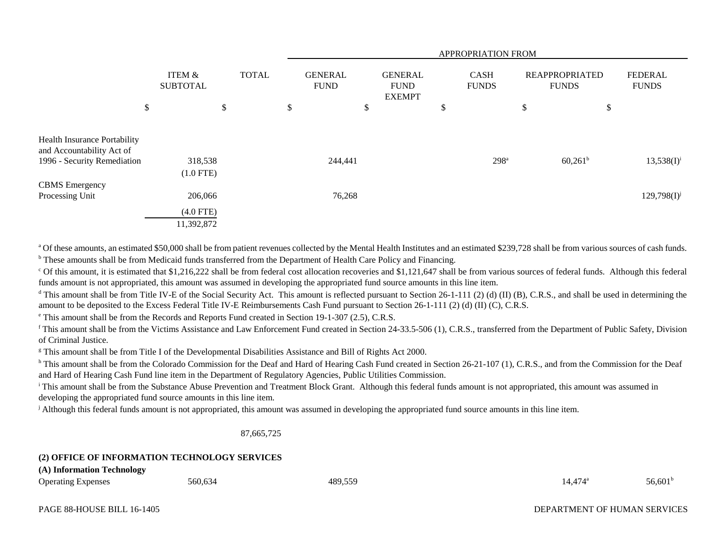|                                                                  |                           |              | APPROPRIATION FROM            |                                                |    |                             |    |                                       |                                |
|------------------------------------------------------------------|---------------------------|--------------|-------------------------------|------------------------------------------------|----|-----------------------------|----|---------------------------------------|--------------------------------|
|                                                                  | ITEM &<br><b>SUBTOTAL</b> | <b>TOTAL</b> | <b>GENERAL</b><br><b>FUND</b> | <b>GENERAL</b><br><b>FUND</b><br><b>EXEMPT</b> |    | <b>CASH</b><br><b>FUNDS</b> |    | <b>REAPPROPRIATED</b><br><b>FUNDS</b> | <b>FEDERAL</b><br><b>FUNDS</b> |
| \$                                                               |                           | \$           | \$<br>\$                      |                                                | \$ |                             | \$ | \$                                    |                                |
|                                                                  |                           |              |                               |                                                |    |                             |    |                                       |                                |
| <b>Health Insurance Portability</b><br>and Accountability Act of |                           |              |                               |                                                |    |                             |    |                                       |                                |
| 1996 - Security Remediation                                      | 318,538                   |              | 244,441                       |                                                |    | 298 <sup>a</sup>            |    | $60,261^b$                            | $13,538(I)^{i}$                |
|                                                                  | $(1.0$ FTE)               |              |                               |                                                |    |                             |    |                                       |                                |
| <b>CBMS</b> Emergency                                            |                           |              |                               |                                                |    |                             |    |                                       |                                |
| Processing Unit                                                  | 206,066                   |              | 76,268                        |                                                |    |                             |    |                                       | $129,798(1)^j$                 |
|                                                                  | $(4.0$ FTE)               |              |                               |                                                |    |                             |    |                                       |                                |
|                                                                  | 11,392,872                |              |                               |                                                |    |                             |    |                                       |                                |

<sup>a</sup> Of these amounts, an estimated \$50,000 shall be from patient revenues collected by the Mental Health Institutes and an estimated \$239,728 shall be from various sources of cash funds. <sup>b</sup> These amounts shall be from Medicaid funds transferred from the Department of Health Care Policy and Financing.

 $\degree$  Of this amount, it is estimated that \$1,216,222 shall be from federal cost allocation recoveries and \$1,121,647 shall be from various sources of federal funds. Although this federal funds amount is not appropriated, this amount was assumed in developing the appropriated fund source amounts in this line item.

<sup>d</sup> This amount shall be from Title IV-E of the Social Security Act. This amount is reflected pursuant to Section 26-1-111 (2) (d) (II) (B), C.R.S., and shall be used in determining the amount to be deposited to the Excess Federal Title IV-E Reimbursements Cash Fund pursuant to Section 26-1-111 (2) (d) (II) (C), C.R.S.

e This amount shall be from the Records and Reports Fund created in Section 19-1-307 (2.5), C.R.S.

<sup>f</sup> This amount shall be from the Victims Assistance and Law Enforcement Fund created in Section 24-33.5-506 (1), C.R.S., transferred from the Department of Public Safety, Division of Criminal Justice.

g This amount shall be from Title I of the Developmental Disabilities Assistance and Bill of Rights Act 2000.

<sup>h</sup> This amount shall be from the Colorado Commission for the Deaf and Hard of Hearing Cash Fund created in Section 26-21-107 (1), C.R.S., and from the Commission for the Deaf and Hard of Hearing Cash Fund line item in the Department of Regulatory Agencies, Public Utilities Commission.

<sup>i</sup> This amount shall be from the Substance Abuse Prevention and Treatment Block Grant. Although this federal funds amount is not appropriated, this amount was assumed in developing the appropriated fund source amounts in this line item.

<sup>j</sup> Although this federal funds amount is not appropriated, this amount was assumed in developing the appropriated fund source amounts in this line item.

87,665,725

## **(2) OFFICE OF INFORMATION TECHNOLOGY SERVICES**

**(A) Information Technology**

Operating Expenses  $560,634$  560,634 489,559  $14,474^{\circ}$  56,601<sup>b</sup>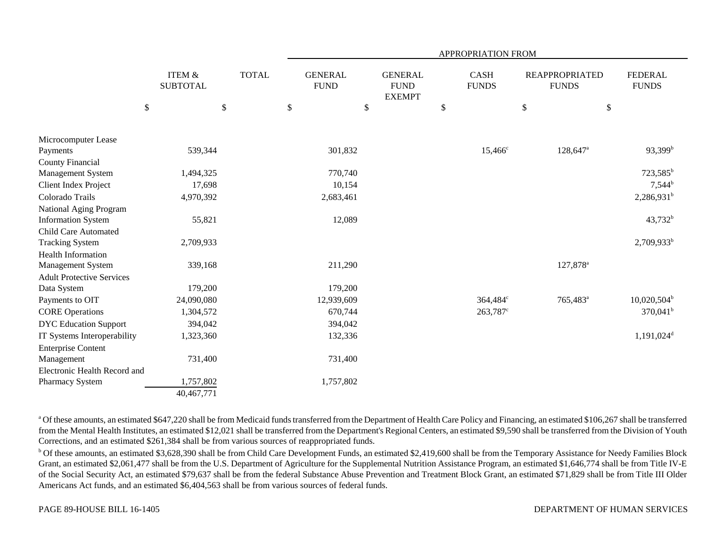|                                              |                                      |              |                               |                                                |      | <b>APPROPRIATION FROM</b>   |                                       |                                |
|----------------------------------------------|--------------------------------------|--------------|-------------------------------|------------------------------------------------|------|-----------------------------|---------------------------------------|--------------------------------|
|                                              | <b>ITEM &amp;</b><br><b>SUBTOTAL</b> | <b>TOTAL</b> | <b>GENERAL</b><br><b>FUND</b> | <b>GENERAL</b><br><b>FUND</b><br><b>EXEMPT</b> |      | <b>CASH</b><br><b>FUNDS</b> | <b>REAPPROPRIATED</b><br><b>FUNDS</b> | <b>FEDERAL</b><br><b>FUNDS</b> |
| \$                                           | \$                                   |              | $\$$<br>$\$$                  |                                                | $\$$ |                             | $\mathbb{S}$                          | $\$$                           |
|                                              |                                      |              |                               |                                                |      |                             |                                       |                                |
| Microcomputer Lease                          | 539,344                              |              | 301,832                       |                                                |      | $15,466^{\circ}$            | $128,647$ <sup>a</sup>                | $93,399^b$                     |
| Payments                                     |                                      |              |                               |                                                |      |                             |                                       |                                |
| <b>County Financial</b><br>Management System | 1,494,325                            |              | 770,740                       |                                                |      |                             |                                       | $723,585^b$                    |
| Client Index Project                         | 17,698                               |              | 10,154                        |                                                |      |                             |                                       | $7,544^b$                      |
| Colorado Trails                              | 4,970,392                            |              | 2,683,461                     |                                                |      |                             |                                       | 2,286,931 <sup>b</sup>         |
| National Aging Program                       |                                      |              |                               |                                                |      |                             |                                       |                                |
| <b>Information System</b>                    | 55,821                               |              | 12,089                        |                                                |      |                             |                                       | 43,732 <sup>b</sup>            |
| <b>Child Care Automated</b>                  |                                      |              |                               |                                                |      |                             |                                       |                                |
| <b>Tracking System</b>                       | 2,709,933                            |              |                               |                                                |      |                             |                                       | 2,709,933 <sup>b</sup>         |
| <b>Health Information</b>                    |                                      |              |                               |                                                |      |                             |                                       |                                |
| Management System                            | 339,168                              |              | 211,290                       |                                                |      |                             | 127,878 <sup>a</sup>                  |                                |
| <b>Adult Protective Services</b>             |                                      |              |                               |                                                |      |                             |                                       |                                |
| Data System                                  | 179,200                              |              | 179,200                       |                                                |      |                             |                                       |                                |
| Payments to OIT                              | 24,090,080                           |              | 12,939,609                    |                                                |      | 364,484°                    | 765,483 <sup>a</sup>                  | $10,020,504^{\rm b}$           |
| <b>CORE Operations</b>                       | 1,304,572                            |              | 670,744                       |                                                |      | 263,787 <sup>c</sup>        |                                       | $370,041^b$                    |
| <b>DYC</b> Education Support                 | 394,042                              |              | 394,042                       |                                                |      |                             |                                       |                                |
| IT Systems Interoperability                  | 1,323,360                            |              | 132,336                       |                                                |      |                             |                                       | $1,191,024$ <sup>d</sup>       |
| <b>Enterprise Content</b>                    |                                      |              |                               |                                                |      |                             |                                       |                                |
| Management                                   | 731,400                              |              | 731,400                       |                                                |      |                             |                                       |                                |
| Electronic Health Record and                 |                                      |              |                               |                                                |      |                             |                                       |                                |
| Pharmacy System                              | 1,757,802                            |              | 1,757,802                     |                                                |      |                             |                                       |                                |
|                                              | 40,467,771                           |              |                               |                                                |      |                             |                                       |                                |

<sup>a</sup> Of these amounts, an estimated \$647,220 shall be from Medicaid funds transferred from the Department of Health Care Policy and Financing, an estimated \$106,267 shall be transferred from the Mental Health Institutes, an estimated \$12,021 shall be transferred from the Department's Regional Centers, an estimated \$9,590 shall be transferred from the Division of Youth Corrections, and an estimated \$261,384 shall be from various sources of reappropriated funds.

<sup>b</sup> Of these amounts, an estimated \$3,628,390 shall be from Child Care Development Funds, an estimated \$2,419,600 shall be from the Temporary Assistance for Needy Families Block Grant, an estimated \$2,061,477 shall be from the U.S. Department of Agriculture for the Supplemental Nutrition Assistance Program, an estimated \$1,646,774 shall be from Title IV-E of the Social Security Act, an estimated \$79,637 shall be from the federal Substance Abuse Prevention and Treatment Block Grant, an estimated \$71,829 shall be from Title III Older Americans Act funds, and an estimated \$6,404,563 shall be from various sources of federal funds.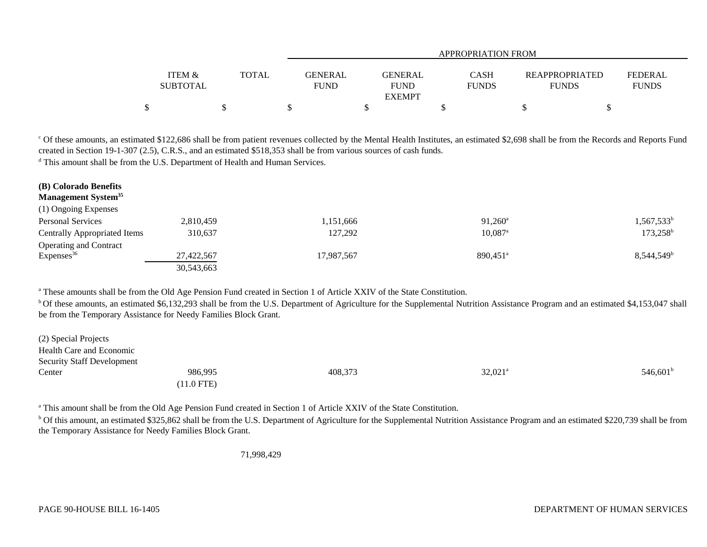|                   |              |             | APPROPRIATION FROM |              |                       |              |  |  |  |  |  |  |  |
|-------------------|--------------|-------------|--------------------|--------------|-----------------------|--------------|--|--|--|--|--|--|--|
|                   |              |             |                    |              |                       |              |  |  |  |  |  |  |  |
| <b>ITEM &amp;</b> | <b>TOTAL</b> | GENERAL     | <b>GENERAL</b>     | <b>CASH</b>  | <b>REAPPROPRIATED</b> | FEDERAL      |  |  |  |  |  |  |  |
| <b>SUBTOTAL</b>   |              | <b>FUND</b> | <b>FUND</b>        | <b>FUNDS</b> | <b>FUNDS</b>          | <b>FUNDS</b> |  |  |  |  |  |  |  |
|                   |              |             | <b>EXEMPT</b>      |              |                       |              |  |  |  |  |  |  |  |
|                   |              |             |                    |              |                       |              |  |  |  |  |  |  |  |

<sup>c</sup> Of these amounts, an estimated \$122,686 shall be from patient revenues collected by the Mental Health Institutes, an estimated \$2,698 shall be from the Records and Reports Fund created in Section 19-1-307 (2.5), C.R.S., and an estimated \$518,353 shall be from various sources of cash funds.

<sup>d</sup> This amount shall be from the U.S. Department of Health and Human Services.

| (B) Colorado Benefits<br><b>Management System</b> <sup>35</sup> |            |            |                        |                        |
|-----------------------------------------------------------------|------------|------------|------------------------|------------------------|
| (1) Ongoing Expenses                                            |            |            |                        |                        |
| <b>Personal Services</b>                                        | 2,810,459  | .151,666   | $91.260^{\circ}$       | $1,567,533^{\rm b}$    |
| <b>Centrally Appropriated Items</b>                             | 310,637    | 127,292    | $10,087$ <sup>a</sup>  | $173,258^{\rm b}$      |
| <b>Operating and Contract</b>                                   |            |            |                        |                        |
| Expenses <sup>36</sup>                                          | 27,422,567 | 17.987.567 | $890.451$ <sup>a</sup> | 8,544,549 <sup>b</sup> |
|                                                                 | 30,543,663 |            |                        |                        |

<sup>a</sup> These amounts shall be from the Old Age Pension Fund created in Section 1 of Article XXIV of the State Constitution.

<sup>b</sup> Of these amounts, an estimated \$6,132,293 shall be from the U.S. Department of Agriculture for the Supplemental Nutrition Assistance Program and an estimated \$4,153,047 shall be from the Temporary Assistance for Needy Families Block Grant.

| (2) Special Projects              |              |         |                       |                   |
|-----------------------------------|--------------|---------|-----------------------|-------------------|
| Health Care and Economic          |              |         |                       |                   |
| <b>Security Staff Development</b> |              |         |                       |                   |
| Center                            | 986,995      | 408,373 | $32,021$ <sup>a</sup> | $546,601^{\rm b}$ |
|                                   | $(11.0$ FTE) |         |                       |                   |

<sup>a</sup> This amount shall be from the Old Age Pension Fund created in Section 1 of Article XXIV of the State Constitution.

<sup>b</sup> Of this amount, an estimated \$325,862 shall be from the U.S. Department of Agriculture for the Supplemental Nutrition Assistance Program and an estimated \$220,739 shall be from the Temporary Assistance for Needy Families Block Grant.

71,998,429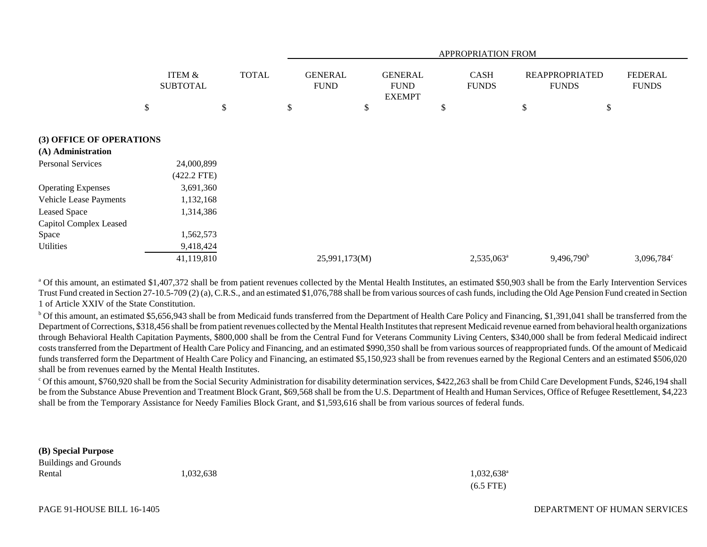|                               |                                                      |  | APPROPRIATION FROM            |    |                                                |    |                             |    |                                       |                                |
|-------------------------------|------------------------------------------------------|--|-------------------------------|----|------------------------------------------------|----|-----------------------------|----|---------------------------------------|--------------------------------|
|                               | <b>ITEM &amp;</b><br><b>TOTAL</b><br><b>SUBTOTAL</b> |  | <b>GENERAL</b><br><b>FUND</b> |    | <b>GENERAL</b><br><b>FUND</b><br><b>EXEMPT</b> |    | <b>CASH</b><br><b>FUNDS</b> |    | <b>REAPPROPRIATED</b><br><b>FUNDS</b> | <b>FEDERAL</b><br><b>FUNDS</b> |
|                               | \$<br>\$                                             |  | \$                            | \$ |                                                | \$ |                             | \$ |                                       | \$                             |
| (3) OFFICE OF OPERATIONS      |                                                      |  |                               |    |                                                |    |                             |    |                                       |                                |
| (A) Administration            |                                                      |  |                               |    |                                                |    |                             |    |                                       |                                |
| <b>Personal Services</b>      | 24,000,899                                           |  |                               |    |                                                |    |                             |    |                                       |                                |
|                               | $(422.2$ FTE)                                        |  |                               |    |                                                |    |                             |    |                                       |                                |
| <b>Operating Expenses</b>     | 3,691,360                                            |  |                               |    |                                                |    |                             |    |                                       |                                |
| <b>Vehicle Lease Payments</b> | 1,132,168                                            |  |                               |    |                                                |    |                             |    |                                       |                                |
| <b>Leased Space</b>           | 1,314,386                                            |  |                               |    |                                                |    |                             |    |                                       |                                |
| <b>Capitol Complex Leased</b> |                                                      |  |                               |    |                                                |    |                             |    |                                       |                                |
| Space                         | 1,562,573                                            |  |                               |    |                                                |    |                             |    |                                       |                                |
| Utilities                     | 9,418,424                                            |  |                               |    |                                                |    |                             |    |                                       |                                |
|                               | 41,119,810                                           |  | 25,991,173(M)                 |    |                                                |    | 2,535,063 <sup>a</sup>      |    | $9,496,790^b$                         | 3,096,784°                     |

<sup>a</sup> Of this amount, an estimated \$1,407,372 shall be from patient revenues collected by the Mental Health Institutes, an estimated \$50,903 shall be from the Early Intervention Services Trust Fund created in Section 27-10.5-709 (2) (a), C.R.S., and an estimated \$1,076,788 shall be from various sources of cash funds, including the Old Age Pension Fund created in Section 1 of Article XXIV of the State Constitution.

<sup>b</sup> Of this amount, an estimated \$5,656,943 shall be from Medicaid funds transferred from the Department of Health Care Policy and Financing, \$1,391,041 shall be transferred from the Department of Corrections, \$318,456 shall be from patient revenues collected by the Mental Health Institutes that represent Medicaid revenue earned from behavioral health organizations through Behavioral Health Capitation Payments, \$800,000 shall be from the Central Fund for Veterans Community Living Centers, \$340,000 shall be from federal Medicaid indirect costs transferred from the Department of Health Care Policy and Financing, and an estimated \$990,350 shall be from various sources of reappropriated funds. Of the amount of Medicaid funds transferred form the Department of Health Care Policy and Financing, an estimated \$5,150,923 shall be from revenues earned by the Regional Centers and an estimated \$506,020 shall be from revenues earned by the Mental Health Institutes.

c Of this amount, \$760,920 shall be from the Social Security Administration for disability determination services, \$422,263 shall be from Child Care Development Funds, \$246,194 shall be from the Substance Abuse Prevention and Treatment Block Grant, \$69,568 shall be from the U.S. Department of Health and Human Services, Office of Refugee Resettlement, \$4,223 shall be from the Temporary Assistance for Needy Families Block Grant, and \$1,593,616 shall be from various sources of federal funds.

**(B) Special Purpose**

Buildings and Grounds Rental  $1,032,638$   $1,032,638$ 

(6.5 FTE)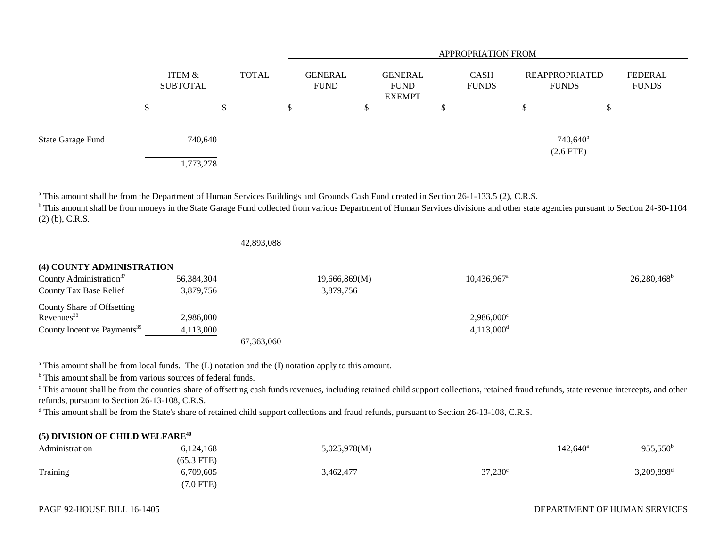|                          |                           |              | APPROPRIATION FROM            |  |                                         |   |                             |    |                                  |                                |
|--------------------------|---------------------------|--------------|-------------------------------|--|-----------------------------------------|---|-----------------------------|----|----------------------------------|--------------------------------|
|                          | ITEM &<br><b>SUBTOTAL</b> | <b>TOTAL</b> | <b>GENERAL</b><br><b>FUND</b> |  | GENERAL<br><b>FUND</b><br><b>EXEMPT</b> |   | <b>CASH</b><br><b>FUNDS</b> |    | REAPPROPRIATED<br><b>FUNDS</b>   | <b>FEDERAL</b><br><b>FUNDS</b> |
|                          | \$<br><sup>\$</sup>       |              | \$                            |  |                                         | D |                             | \$ | \$                               |                                |
| <b>State Garage Fund</b> | 740,640                   |              |                               |  |                                         |   |                             |    | $740,640^{\rm b}$<br>$(2.6$ FTE) |                                |
|                          | 1,773,278                 |              |                               |  |                                         |   |                             |    |                                  |                                |

<sup>a</sup> This amount shall be from the Department of Human Services Buildings and Grounds Cash Fund created in Section 26-1-133.5 (2), C.R.S.

<sup>b</sup> This amount shall be from moneys in the State Garage Fund collected from various Department of Human Services divisions and other state agencies pursuant to Section 24-30-1104 (2) (b), C.R.S.

42,893,088

| (4) COUNTY ADMINISTRATION               |            |               |                           |                           |
|-----------------------------------------|------------|---------------|---------------------------|---------------------------|
| County Administration <sup>37</sup>     | 56,384,304 | 19,666,869(M) | $10,436,967$ <sup>a</sup> | $26,280,468$ <sup>b</sup> |
| County Tax Base Relief                  | 3,879,756  | 3,879,756     |                           |                           |
| County Share of Offsetting              |            |               |                           |                           |
| $Re$ venues <sup>38</sup>               | 2.986,000  |               | $2,986,000^{\circ}$       |                           |
| County Incentive Payments <sup>39</sup> | 4.113.000  |               | $4,113,000$ <sup>d</sup>  |                           |
|                                         |            | 67.363.060    |                           |                           |

<sup>a</sup> This amount shall be from local funds. The (L) notation and the (I) notation apply to this amount.

<sup>b</sup> This amount shall be from various sources of federal funds.

<sup>c</sup> This amount shall be from the counties' share of offsetting cash funds revenues, including retained child support collections, retained fraud refunds, state revenue intercepts, and other refunds, pursuant to Section 26-13-108, C.R.S.

<sup>d</sup> This amount shall be from the State's share of retained child support collections and fraud refunds, pursuant to Section 26-13-108, C.R.S.

## **(5) DIVISION OF CHILD WELFARE<sup>40</sup>**

| Administration | 6,124,168    | 5,025,978(M) |                  | $142,640^{\circ}$ | $955,550^{\rm b}$      |
|----------------|--------------|--------------|------------------|-------------------|------------------------|
|                | $(65.3$ FTE) |              |                  |                   |                        |
| Training       | 5,709,605    | 3,462,477    | $37,230^{\circ}$ |                   | 3,209,898 <sup>d</sup> |
|                | $(7.0$ FTE)  |              |                  |                   |                        |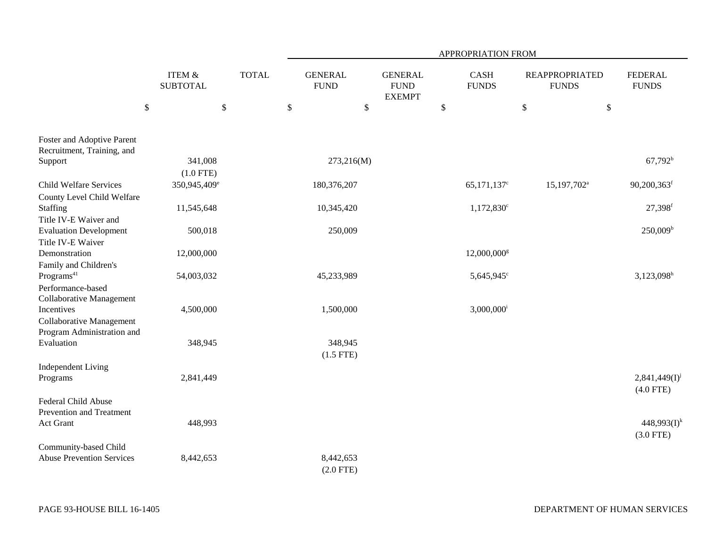|                                                                                  |                                      |              | APPROPRIATION FROM       |                                                 |                             |                                       |                                   |  |  |  |  |  |
|----------------------------------------------------------------------------------|--------------------------------------|--------------|--------------------------|-------------------------------------------------|-----------------------------|---------------------------------------|-----------------------------------|--|--|--|--|--|
|                                                                                  | <b>ITEM &amp;</b><br><b>SUBTOTAL</b> | <b>TOTAL</b> |                          | <b>GENERAL</b><br>${\rm FUND}$<br><b>EXEMPT</b> | <b>CASH</b><br><b>FUNDS</b> | <b>REAPPROPRIATED</b><br><b>FUNDS</b> | <b>FEDERAL</b><br><b>FUNDS</b>    |  |  |  |  |  |
| $\$$                                                                             |                                      | \$           | $\$$                     | \$                                              | $\mathbb{S}$                | $\$\,$<br>$\$\,$                      |                                   |  |  |  |  |  |
| Foster and Adoptive Parent<br>Recruitment, Training, and                         |                                      |              |                          |                                                 |                             |                                       |                                   |  |  |  |  |  |
| Support                                                                          | 341,008<br>$(1.0$ FTE)               |              | 273,216(M)               |                                                 |                             |                                       | $67,792^b$                        |  |  |  |  |  |
| <b>Child Welfare Services</b><br>County Level Child Welfare                      | 350,945,409 <sup>e</sup>             |              | 180,376,207              |                                                 | $65,171,137$ <sup>c</sup>   | 15,197,702 <sup>a</sup>               | 90,200,363f                       |  |  |  |  |  |
| Staffing<br>Title IV-E Waiver and                                                | 11,545,648                           |              | 10,345,420               |                                                 | $1,172,830^{\circ}$         |                                       | 27,398f                           |  |  |  |  |  |
| <b>Evaluation Development</b><br>Title IV-E Waiver                               | 500,018                              |              | 250,009                  |                                                 |                             |                                       | $250,009^{\rm b}$                 |  |  |  |  |  |
| Demonstration<br>Family and Children's                                           | 12,000,000                           |              |                          |                                                 | 12,000,000 <sup>g</sup>     |                                       |                                   |  |  |  |  |  |
| $\mbox{Programs}^{\mbox{\scriptsize 41}}$<br>Performance-based                   | 54,003,032                           |              | 45,233,989               |                                                 | 5,645,945 <sup>c</sup>      |                                       | $3,123,098$ <sup>h</sup>          |  |  |  |  |  |
| <b>Collaborative Management</b><br>Incentives<br><b>Collaborative Management</b> | 4,500,000                            |              | 1,500,000                |                                                 | $3,000,000$ <sup>i</sup>    |                                       |                                   |  |  |  |  |  |
| Program Administration and<br>Evaluation                                         | 348,945                              |              | 348,945<br>$(1.5$ FTE)   |                                                 |                             |                                       |                                   |  |  |  |  |  |
| <b>Independent Living</b><br>Programs                                            | 2,841,449                            |              |                          |                                                 |                             |                                       | $2,841,449(I)^{j}$<br>$(4.0$ FTE) |  |  |  |  |  |
| <b>Federal Child Abuse</b><br>Prevention and Treatment<br>Act Grant              | 448,993                              |              |                          |                                                 |                             |                                       | $448,993(I)^k$<br>$(3.0$ FTE)     |  |  |  |  |  |
| Community-based Child<br><b>Abuse Prevention Services</b>                        | 8,442,653                            |              | 8,442,653<br>$(2.0$ FTE) |                                                 |                             |                                       |                                   |  |  |  |  |  |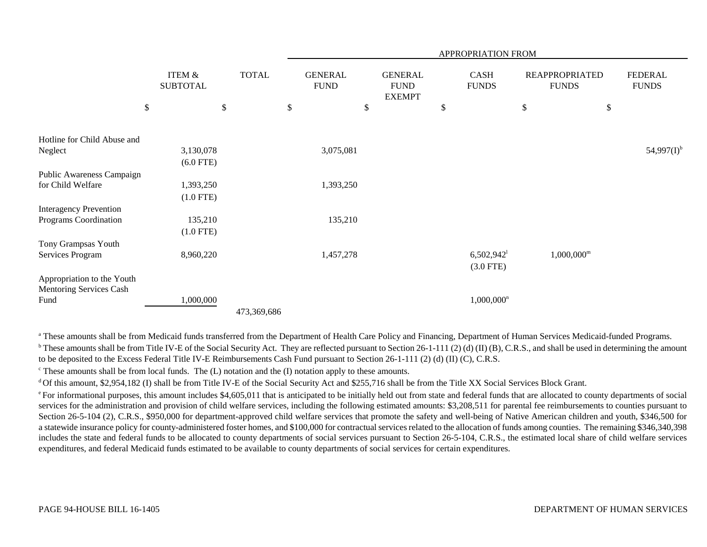|                                                               |                           |              |                               |                                                | APPROPRIATION FROM                      |                                       |                                |
|---------------------------------------------------------------|---------------------------|--------------|-------------------------------|------------------------------------------------|-----------------------------------------|---------------------------------------|--------------------------------|
|                                                               | ITEM &<br><b>SUBTOTAL</b> | <b>TOTAL</b> | <b>GENERAL</b><br><b>FUND</b> | <b>GENERAL</b><br><b>FUND</b><br><b>EXEMPT</b> | CASH<br><b>FUNDS</b>                    | <b>REAPPROPRIATED</b><br><b>FUNDS</b> | <b>FEDERAL</b><br><b>FUNDS</b> |
|                                                               | \$                        | $\$\,$       | \$                            | \$                                             | \$                                      | \$<br>\$                              |                                |
| Hotline for Child Abuse and                                   |                           |              |                               |                                                |                                         |                                       |                                |
| Neglect                                                       | 3,130,078<br>$(6.0$ FTE)  |              | 3,075,081                     |                                                |                                         |                                       | $54,997(I)^{b}$                |
| Public Awareness Campaign<br>for Child Welfare                | 1,393,250<br>$(1.0$ FTE)  |              | 1,393,250                     |                                                |                                         |                                       |                                |
| <b>Interagency Prevention</b><br>Programs Coordination        | 135,210                   |              | 135,210                       |                                                |                                         |                                       |                                |
| Tony Grampsas Youth<br>Services Program                       | $(1.0$ FTE)<br>8,960,220  |              | 1,457,278                     |                                                | $6,502,942$ <sup>1</sup><br>$(3.0$ FTE) | $1,000,000^{\rm m}$                   |                                |
| Appropriation to the Youth<br>Mentoring Services Cash<br>Fund | 1,000,000                 |              |                               |                                                | $1,000,000$ <sup>n</sup>                |                                       |                                |
|                                                               |                           | 473,369,686  |                               |                                                |                                         |                                       |                                |

<sup>a</sup> These amounts shall be from Medicaid funds transferred from the Department of Health Care Policy and Financing, Department of Human Services Medicaid-funded Programs. <sup>b</sup> These amounts shall be from Title IV-E of the Social Security Act. They are reflected pursuant to Section 26-1-111 (2) (d) (II) (B), C.R.S., and shall be used in determining the amount to be deposited to the Excess Federal Title IV-E Reimbursements Cash Fund pursuant to Section 26-1-111 (2) (d) (II) (C), C.R.S.

 $\epsilon$  These amounts shall be from local funds. The (L) notation and the (I) notation apply to these amounts.

<sup>d</sup> Of this amount, \$2,954,182 (I) shall be from Title IV-E of the Social Security Act and \$255,716 shall be from the Title XX Social Services Block Grant.

<sup>e</sup> For informational purposes, this amount includes \$4,605,011 that is anticipated to be initially held out from state and federal funds that are allocated to county departments of social services for the administration and provision of child welfare services, including the following estimated amounts: \$3,208,511 for parental fee reimbursements to counties pursuant to Section 26-5-104 (2), C.R.S., \$950,000 for department-approved child welfare services that promote the safety and well-being of Native American children and youth, \$346,500 for a statewide insurance policy for county-administered foster homes, and \$100,000 for contractual services related to the allocation of funds among counties. The remaining \$346,340,398 includes the state and federal funds to be allocated to county departments of social services pursuant to Section 26-5-104, C.R.S., the estimated local share of child welfare services expenditures, and federal Medicaid funds estimated to be available to county departments of social services for certain expenditures.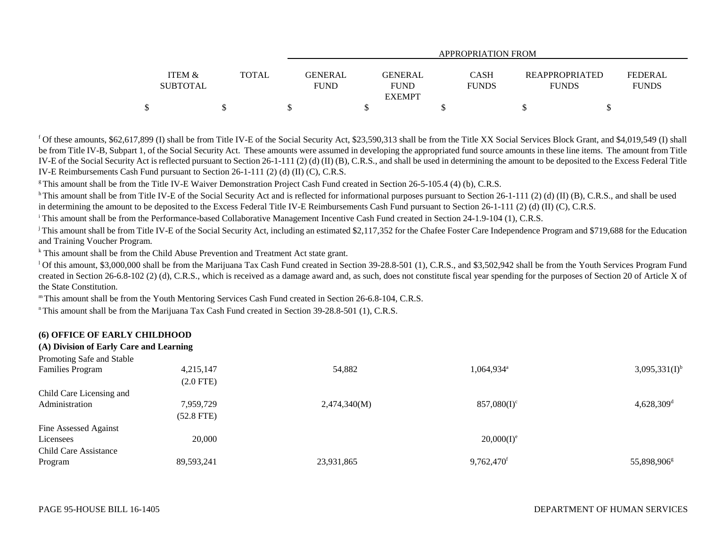|                   |       |                | APPROPRIATION FROM |              |                |                |  |  |  |  |  |  |
|-------------------|-------|----------------|--------------------|--------------|----------------|----------------|--|--|--|--|--|--|
| <b>ITEM &amp;</b> | TOTAL | <b>GENERAL</b> | <b>GENERAL</b>     | <b>CASH</b>  | REAPPROPRIATED | <b>FEDERAL</b> |  |  |  |  |  |  |
| <b>SUBTOTAL</b>   |       | <b>FUND</b>    | <b>FUND</b>        | <b>FUNDS</b> | <b>FUNDS</b>   | <b>FUNDS</b>   |  |  |  |  |  |  |
|                   |       |                | <b>EXEMPT</b>      |              |                |                |  |  |  |  |  |  |
| \$                |       |                |                    |              |                |                |  |  |  |  |  |  |

<sup>f</sup> Of these amounts, \$62,617,899 (I) shall be from Title IV-E of the Social Security Act, \$23,590,313 shall be from the Title XX Social Services Block Grant, and \$4,019,549 (I) shall be from Title IV-B, Subpart 1, of the Social Security Act. These amounts were assumed in developing the appropriated fund source amounts in these line items. The amount from Title IV-E of the Social Security Act is reflected pursuant to Section 26-1-111 (2) (d) (II) (B), C.R.S., and shall be used in determining the amount to be deposited to the Excess Federal Title IV-E Reimbursements Cash Fund pursuant to Section 26-1-111 (2) (d) (II) (C), C.R.S.

<sup>g</sup> This amount shall be from the Title IV-E Waiver Demonstration Project Cash Fund created in Section 26-5-105.4 (4) (b), C.R.S.

<sup>h</sup> This amount shall be from Title IV-E of the Social Security Act and is reflected for informational purposes pursuant to Section 26-1-111 (2) (d) (II) (B), C.R.S., and shall be used in determining the amount to be deposited to the Excess Federal Title IV-E Reimbursements Cash Fund pursuant to Section 26-1-111 (2) (d) (II) (C), C.R.S.

<sup>i</sup> This amount shall be from the Performance-based Collaborative Management Incentive Cash Fund created in Section 24-1.9-104 (1), C.R.S.

<sup>j</sup> This amount shall be from Title IV-E of the Social Security Act, including an estimated \$2,117,352 for the Chafee Foster Care Independence Program and \$719,688 for the Education and Training Voucher Program.

k This amount shall be from the Child Abuse Prevention and Treatment Act state grant.

<sup>1</sup> Of this amount, \$3,000,000 shall be from the Marijuana Tax Cash Fund created in Section 39-28.8-501 (1), C.R.S., and \$3,502,942 shall be from the Youth Services Program Fund created in Section 26-6.8-102 (2) (d), C.R.S., which is received as a damage award and, as such, does not constitute fiscal year spending for the purposes of Section 20 of Article X of the State Constitution.

m This amount shall be from the Youth Mentoring Services Cash Fund created in Section 26-6.8-104, C.R.S.

n This amount shall be from the Marijuana Tax Cash Fund created in Section 39-28.8-501 (1), C.R.S.

## **(6) OFFICE OF EARLY CHILDHOOD**

## **(A) Division of Early Care and Learning**

| Promoting Safe and Stable |              |              |                          |                          |
|---------------------------|--------------|--------------|--------------------------|--------------------------|
| <b>Families Program</b>   | 4,215,147    | 54,882       | $1,064,934$ <sup>a</sup> | $3,095,331(I)^{b}$       |
|                           | $(2.0$ FTE)  |              |                          |                          |
| Child Care Licensing and  |              |              |                          |                          |
| Administration            | 7,959,729    | 2,474,340(M) | $857,080(I)^c$           | $4,628,309$ <sup>d</sup> |
|                           | $(52.8$ FTE) |              |                          |                          |
| Fine Assessed Against     |              |              |                          |                          |
| Licensees                 | 20,000       |              | $20,000(I)^e$            |                          |
| Child Care Assistance     |              |              |                          |                          |
| Program                   | 89,593,241   | 23,931,865   | 9,762,470 <sup>f</sup>   | 55,898,906 <sup>g</sup>  |
|                           |              |              |                          |                          |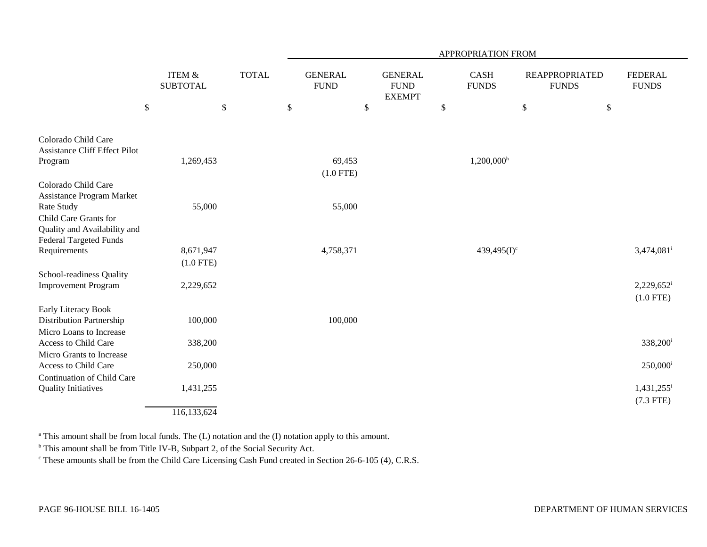|                                                                                        |                                      |              | APPROPRIATION FROM            |                                                |                             |                          |                                       |                                |  |  |  |
|----------------------------------------------------------------------------------------|--------------------------------------|--------------|-------------------------------|------------------------------------------------|-----------------------------|--------------------------|---------------------------------------|--------------------------------|--|--|--|
|                                                                                        | <b>ITEM &amp;</b><br><b>SUBTOTAL</b> | <b>TOTAL</b> | <b>GENERAL</b><br><b>FUND</b> | <b>GENERAL</b><br><b>FUND</b><br><b>EXEMPT</b> | <b>CASH</b><br><b>FUNDS</b> |                          | <b>REAPPROPRIATED</b><br><b>FUNDS</b> | <b>FEDERAL</b><br><b>FUNDS</b> |  |  |  |
|                                                                                        | $\$$<br>\$                           |              | $\$$<br>\$                    |                                                | \$                          | \$                       | \$                                    |                                |  |  |  |
| Colorado Child Care<br><b>Assistance Cliff Effect Pilot</b>                            |                                      |              |                               |                                                |                             |                          |                                       |                                |  |  |  |
| Program                                                                                | 1,269,453                            |              | 69,453                        |                                                |                             | $1,200,000$ <sup>h</sup> |                                       |                                |  |  |  |
|                                                                                        |                                      |              | $(1.0$ FTE)                   |                                                |                             |                          |                                       |                                |  |  |  |
| Colorado Child Care<br>Assistance Program Market                                       |                                      |              |                               |                                                |                             |                          |                                       |                                |  |  |  |
| Rate Study                                                                             | 55,000                               |              | 55,000                        |                                                |                             |                          |                                       |                                |  |  |  |
| Child Care Grants for<br>Quality and Availability and<br><b>Federal Targeted Funds</b> |                                      |              |                               |                                                |                             |                          |                                       |                                |  |  |  |
| Requirements                                                                           | 8,671,947                            |              | 4,758,371                     |                                                |                             | 439,495 $(I)^c$          |                                       | 3,474,081 <sup>i</sup>         |  |  |  |
|                                                                                        | $(1.0$ FTE)                          |              |                               |                                                |                             |                          |                                       |                                |  |  |  |
| School-readiness Quality                                                               |                                      |              |                               |                                                |                             |                          |                                       |                                |  |  |  |
| <b>Improvement Program</b>                                                             | 2,229,652                            |              |                               |                                                |                             |                          |                                       | $2,229,652^i$                  |  |  |  |
|                                                                                        |                                      |              |                               |                                                |                             |                          |                                       | $(1.0$ FTE)                    |  |  |  |
| Early Literacy Book<br>Distribution Partnership                                        | 100,000                              |              | 100,000                       |                                                |                             |                          |                                       |                                |  |  |  |
| Micro Loans to Increase                                                                |                                      |              |                               |                                                |                             |                          |                                       |                                |  |  |  |
| Access to Child Care                                                                   | 338,200                              |              |                               |                                                |                             |                          |                                       | 338,200 <sup>i</sup>           |  |  |  |
| Micro Grants to Increase                                                               |                                      |              |                               |                                                |                             |                          |                                       |                                |  |  |  |
| Access to Child Care                                                                   | 250,000                              |              |                               |                                                |                             |                          |                                       | $250,000$ <sup>i</sup>         |  |  |  |
| Continuation of Child Care<br><b>Quality Initiatives</b>                               | 1,431,255                            |              |                               |                                                |                             |                          |                                       | 1,431,255                      |  |  |  |
|                                                                                        | 116,133,624                          |              |                               |                                                |                             |                          |                                       | $(7.3$ FTE)                    |  |  |  |

a This amount shall be from local funds. The (L) notation and the (I) notation apply to this amount.

<sup>b</sup> This amount shall be from Title IV-B, Subpart 2, of the Social Security Act.

<sup>c</sup> These amounts shall be from the Child Care Licensing Cash Fund created in Section 26-6-105 (4), C.R.S.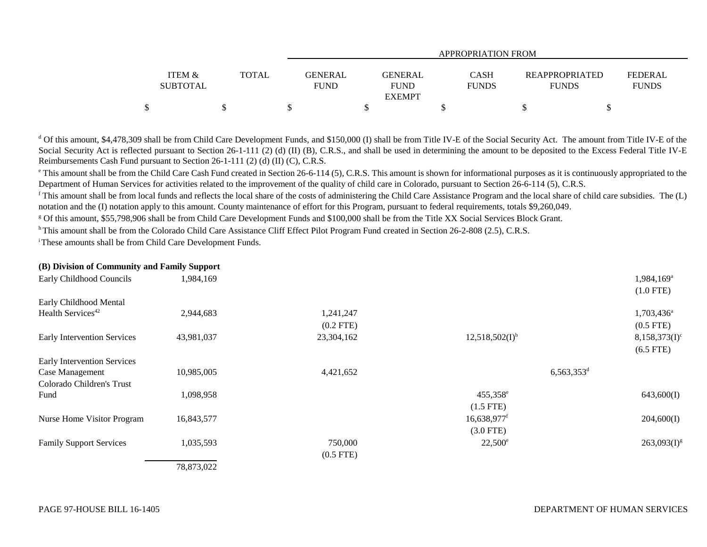|                 |              | <b>APPROPRIATION FROM</b> |                |              |                |                |  |  |  |  |  |
|-----------------|--------------|---------------------------|----------------|--------------|----------------|----------------|--|--|--|--|--|
|                 |              |                           |                |              |                |                |  |  |  |  |  |
| ITEM &          | <b>TOTAL</b> | <b>GENERAL</b>            | <b>GENERAL</b> | <b>CASH</b>  | REAPPROPRIATED | <b>FEDERAL</b> |  |  |  |  |  |
| <b>SUBTOTAL</b> |              | <b>FUND</b>               | <b>FUND</b>    | <b>FUNDS</b> | <b>FUNDS</b>   | <b>FUNDS</b>   |  |  |  |  |  |
|                 |              |                           | <b>EXEMPT</b>  |              |                |                |  |  |  |  |  |
|                 |              |                           |                |              |                |                |  |  |  |  |  |

<sup>d</sup> Of this amount, \$4,478,309 shall be from Child Care Development Funds, and \$150,000 (I) shall be from Title IV-E of the Social Security Act. The amount from Title IV-E of the Social Security Act is reflected pursuant to Section 26-1-111 (2) (d) (II) (B), C.R.S., and shall be used in determining the amount to be deposited to the Excess Federal Title IV-E Reimbursements Cash Fund pursuant to Section 26-1-111 (2) (d) (II) (C), C.R.S.

<sup>e</sup> This amount shall be from the Child Care Cash Fund created in Section 26-6-114 (5), C.R.S. This amount is shown for informational purposes as it is continuously appropriated to the Department of Human Services for activities related to the improvement of the quality of child care in Colorado, pursuant to Section 26-6-114 (5), C.R.S.

<sup>f</sup> This amount shall be from local funds and reflects the local share of the costs of administering the Child Care Assistance Program and the local share of child care subsidies. The (L) notation and the (I) notation apply to this amount. County maintenance of effort for this Program, pursuant to federal requirements, totals \$9,260,049.

g Of this amount, \$55,798,906 shall be from Child Care Development Funds and \$100,000 shall be from the Title XX Social Services Block Grant.

h This amount shall be from the Colorado Child Care Assistance Cliff Effect Pilot Program Fund created in Section 26-2-808 (2.5), C.R.S.

i These amounts shall be from Child Care Development Funds.

| (B) Division of Community and Family Support |            |             |                           |                              |
|----------------------------------------------|------------|-------------|---------------------------|------------------------------|
| Early Childhood Councils                     | 1,984,169  |             |                           | $1,984,169^a$<br>$(1.0$ FTE) |
| Early Childhood Mental                       |            |             |                           |                              |
| Health Services <sup>42</sup>                | 2,944,683  | 1,241,247   |                           | 1,703,436 <sup>a</sup>       |
|                                              |            | $(0.2$ FTE) |                           | $(0.5$ FTE)                  |
| <b>Early Intervention Services</b>           | 43,981,037 | 23,304,162  | $12,518,502(I)^{b}$       | $8,158,373(I)^c$             |
|                                              |            |             |                           | $(6.5$ FTE)                  |
| Early Intervention Services                  |            |             |                           |                              |
| Case Management                              | 10,985,005 | 4,421,652   | $6,563,353$ <sup>d</sup>  |                              |
| Colorado Children's Trust                    |            |             |                           |                              |
| Fund                                         | 1,098,958  |             | 455,358 <sup>e</sup>      | 643,600(I)                   |
|                                              |            |             | $(1.5$ FTE)               |                              |
| Nurse Home Visitor Program                   | 16,843,577 |             | $16,638,977$ <sup>f</sup> | 204,600(I)                   |
|                                              |            |             | $(3.0$ FTE)               |                              |
| <b>Family Support Services</b>               | 1,035,593  | 750,000     | $22,500^{\circ}$          | $263,093(I)^{g}$             |
|                                              |            | $(0.5$ FTE) |                           |                              |
|                                              | 78,873,022 |             |                           |                              |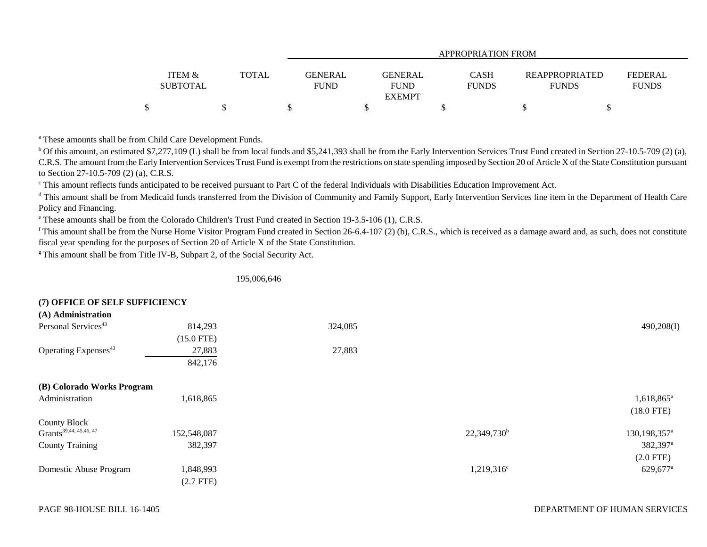|                           |       |                               | <b>APPROPRIATION FROM</b> |                      |                                       |                |  |  |  |  |  |  |
|---------------------------|-------|-------------------------------|---------------------------|----------------------|---------------------------------------|----------------|--|--|--|--|--|--|
|                           |       |                               | <b>GENERAL</b>            |                      |                                       | <b>FEDERAL</b> |  |  |  |  |  |  |
| ITEM &<br><b>SUBTOTAL</b> | TOTAL | <b>GENERAL</b><br><b>FUND</b> | <b>FUND</b>               | CASH<br><b>FUNDS</b> | <b>REAPPROPRIATED</b><br><b>FUNDS</b> | <b>FUNDS</b>   |  |  |  |  |  |  |
|                           |       |                               | <b>EXEMPT</b>             |                      |                                       |                |  |  |  |  |  |  |
| ↶                         |       |                               |                           |                      |                                       |                |  |  |  |  |  |  |

a These amounts shall be from Child Care Development Funds.

 $b$  Of this amount, an estimated \$7,277,109 (L) shall be from local funds and \$5,241,393 shall be from the Early Intervention Services Trust Fund created in Section 27-10.5-709 (2) (a), C.R.S. The amount from the Early Intervention Services Trust Fund is exempt from the restrictions on state spending imposed by Section 20 of Article X of the State Constitution pursuant to Section 27-10.5-709 (2) (a), C.R.S.

<sup>c</sup> This amount reflects funds anticipated to be received pursuant to Part C of the federal Individuals with Disabilities Education Improvement Act.

<sup>d</sup> This amount shall be from Medicaid funds transferred from the Division of Community and Family Support, Early Intervention Services line item in the Department of Health Care Policy and Financing.

e These amounts shall be from the Colorado Children's Trust Fund created in Section 19-3.5-106 (1), C.R.S.

<sup>f</sup> This amount shall be from the Nurse Home Visitor Program Fund created in Section 26-6.4-107 (2) (b), C.R.S., which is received as a damage award and, as such, does not constitute fiscal year spending for the purposes of Section 20 of Article X of the State Constitution.

<sup>g</sup> This amount shall be from Title IV-B, Subpart 2, of the Social Security Act.

195,006,646

| (7) OFFICE OF SELF SUFFICIENCY     |              |         |                |                          |
|------------------------------------|--------------|---------|----------------|--------------------------|
| (A) Administration                 |              |         |                |                          |
| Personal Services <sup>43</sup>    | 814,293      | 324,085 |                | 490,208(I)               |
|                                    | $(15.0$ FTE) |         |                |                          |
| Operating Expenses <sup>43</sup>   | 27,883       | 27,883  |                |                          |
|                                    | 842,176      |         |                |                          |
| (B) Colorado Works Program         |              |         |                |                          |
| Administration                     | 1,618,865    |         |                | 1,618,865 <sup>a</sup>   |
|                                    |              |         |                | $(18.0$ FTE)             |
| <b>County Block</b>                |              |         |                |                          |
| Grants <sup>39,44, 45,46, 47</sup> | 152,548,087  |         | $22,349,730^b$ | 130,198,357 <sup>a</sup> |
| <b>County Training</b>             | 382,397      |         |                | 382,397 <sup>a</sup>     |
|                                    |              |         |                | $(2.0$ FTE)              |
| Domestic Abuse Program             | 1,848,993    |         | $1,219,316^c$  | 629,677 <sup>a</sup>     |
|                                    | $(2.7$ FTE)  |         |                |                          |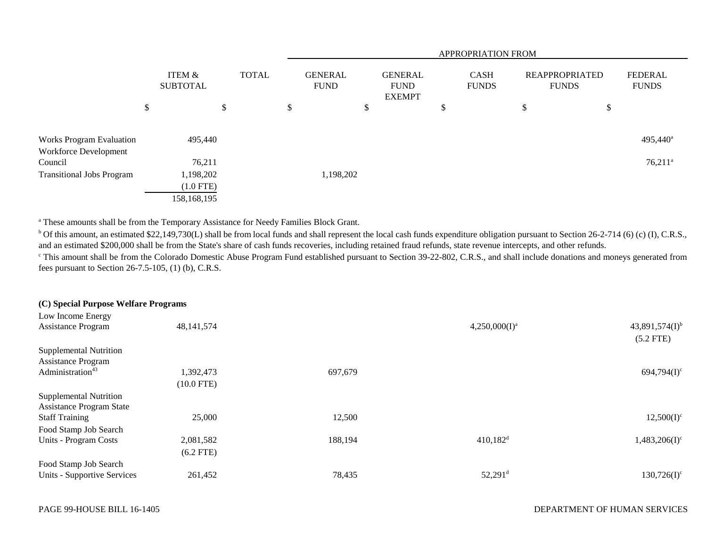|                                                   |                                         |              | <b>APPROPRIATION FROM</b> |                               |    |                                                |   |                             |    |                                       |                                |  |
|---------------------------------------------------|-----------------------------------------|--------------|---------------------------|-------------------------------|----|------------------------------------------------|---|-----------------------------|----|---------------------------------------|--------------------------------|--|
|                                                   | ITEM &<br><b>SUBTOTAL</b>               | <b>TOTAL</b> |                           | <b>GENERAL</b><br><b>FUND</b> |    | <b>GENERAL</b><br><b>FUND</b><br><b>EXEMPT</b> |   | <b>CASH</b><br><b>FUNDS</b> |    | <b>REAPPROPRIATED</b><br><b>FUNDS</b> | <b>FEDERAL</b><br><b>FUNDS</b> |  |
|                                                   | \$                                      | \$           | \$                        |                               | \$ |                                                | D |                             | \$ | \$                                    |                                |  |
| Works Program Evaluation<br>Workforce Development | 495,440                                 |              |                           |                               |    |                                                |   |                             |    |                                       | 495,440 <sup>a</sup>           |  |
| Council                                           | 76,211                                  |              |                           |                               |    |                                                |   |                             |    |                                       | $76,211^a$                     |  |
| <b>Transitional Jobs Program</b>                  | 1,198,202<br>$(1.0$ FTE)<br>158,168,195 |              |                           | 1,198,202                     |    |                                                |   |                             |    |                                       |                                |  |

<sup>a</sup> These amounts shall be from the Temporary Assistance for Needy Families Block Grant.

 $^{\circ}$  Of this amount, an estimated \$22,149,730(L) shall be from local funds and shall represent the local cash funds expenditure obligation pursuant to Section 26-2-714 (6) (c) (I), C.R.S., and an estimated \$200,000 shall be from the State's share of cash funds recoveries, including retained fraud refunds, state revenue intercepts, and other refunds.

<sup>c</sup> This amount shall be from the Colorado Domestic Abuse Program Fund established pursuant to Section 39-22-802, C.R.S., and shall include donations and moneys generated from fees pursuant to Section 26-7.5-105, (1) (b), C.R.S.

| (C) Special Purpose Welfare Programs |              |         |                        |                                    |
|--------------------------------------|--------------|---------|------------------------|------------------------------------|
| Low Income Energy                    |              |         |                        |                                    |
| <b>Assistance Program</b>            | 48, 141, 574 |         | $4,250,000(I)^a$       | $43,891,574(I)^{b}$<br>$(5.2$ FTE) |
| <b>Supplemental Nutrition</b>        |              |         |                        |                                    |
| <b>Assistance Program</b>            |              |         |                        |                                    |
| Administration <sup>43</sup>         | 1,392,473    | 697,679 |                        | $694,794(I)^c$                     |
|                                      | $(10.0$ FTE) |         |                        |                                    |
| <b>Supplemental Nutrition</b>        |              |         |                        |                                    |
| <b>Assistance Program State</b>      |              |         |                        |                                    |
| <b>Staff Training</b>                | 25,000       | 12,500  |                        | $12,500(I)^c$                      |
| Food Stamp Job Search                |              |         |                        |                                    |
| Units - Program Costs                | 2,081,582    | 188,194 | $410,182$ <sup>d</sup> | $1,483,206(1)$ <sup>c</sup>        |
|                                      | $(6.2$ FTE)  |         |                        |                                    |
| Food Stamp Job Search                |              |         |                        |                                    |
| Units - Supportive Services          | 261,452      | 78,435  | $52,291$ <sup>d</sup>  | $130,726(I)^c$                     |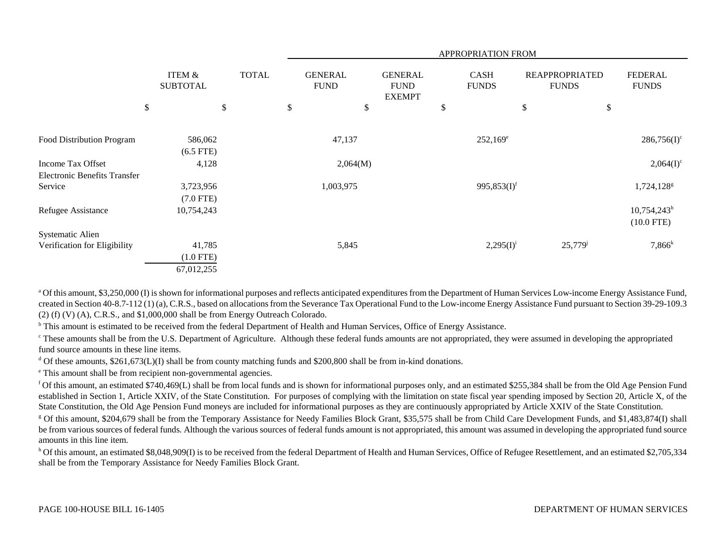|                                     |                                      |              |                               |                                                | <b>APPROPRIATION FROM</b>   |                                       |                                           |
|-------------------------------------|--------------------------------------|--------------|-------------------------------|------------------------------------------------|-----------------------------|---------------------------------------|-------------------------------------------|
|                                     | <b>ITEM &amp;</b><br><b>SUBTOTAL</b> | <b>TOTAL</b> | <b>GENERAL</b><br><b>FUND</b> | <b>GENERAL</b><br><b>FUND</b><br><b>EXEMPT</b> | <b>CASH</b><br><b>FUNDS</b> | <b>REAPPROPRIATED</b><br><b>FUNDS</b> | <b>FEDERAL</b><br><b>FUNDS</b>            |
| \$                                  | \$                                   |              | \$                            | \$                                             | \$                          | \$                                    | \$                                        |
| Food Distribution Program           | 586,062<br>$(6.5$ FTE)               |              | 47,137                        |                                                | $252,169^e$                 |                                       | $286,756(I)^c$                            |
| Income Tax Offset                   | 4,128                                |              | 2,064(M)                      |                                                |                             |                                       | $2,064(I)^c$                              |
| <b>Electronic Benefits Transfer</b> |                                      |              |                               |                                                |                             |                                       |                                           |
| Service                             | 3,723,956                            |              | 1,003,975                     |                                                | 995,853 $(I)^f$             |                                       | 1,724,128 $s$                             |
|                                     | $(7.0$ FTE)                          |              |                               |                                                |                             |                                       |                                           |
| Refugee Assistance                  | 10,754,243                           |              |                               |                                                |                             |                                       | $10,754,243$ <sup>h</sup><br>$(10.0$ FTE) |
| <b>Systematic Alien</b>             |                                      |              |                               |                                                |                             |                                       |                                           |
| Verification for Eligibility        | 41,785                               |              | 5,845                         |                                                | $2,295(I)^{i}$              | $25,779$ <sup>j</sup>                 | $7,866^k$                                 |
|                                     | $(1.0$ FTE)                          |              |                               |                                                |                             |                                       |                                           |
|                                     | 67,012,255                           |              |                               |                                                |                             |                                       |                                           |

<sup>a</sup> Of this amount, \$3,250,000 (I) is shown for informational purposes and reflects anticipated expenditures from the Department of Human Services Low-income Energy Assistance Fund, created in Section 40-8.7-112 (1) (a), C.R.S., based on allocations from the Severance Tax Operational Fund to the Low-income Energy Assistance Fund pursuant to Section 39-29-109.3 (2) (f) (V) (A), C.R.S., and \$1,000,000 shall be from Energy Outreach Colorado.

<sup>b</sup> This amount is estimated to be received from the federal Department of Health and Human Services, Office of Energy Assistance.

<sup>c</sup> These amounts shall be from the U.S. Department of Agriculture. Although these federal funds amounts are not appropriated, they were assumed in developing the appropriated fund source amounts in these line items.

<sup>d</sup> Of these amounts,  $$261,673(L)(I)$  shall be from county matching funds and  $$200,800$  shall be from in-kind donations.

e This amount shall be from recipient non-governmental agencies.

f Of this amount, an estimated \$740,469(L) shall be from local funds and is shown for informational purposes only, and an estimated \$255,384 shall be from the Old Age Pension Fund established in Section 1, Article XXIV, of the State Constitution. For purposes of complying with the limitation on state fiscal year spending imposed by Section 20, Article X, of the State Constitution, the Old Age Pension Fund moneys are included for informational purposes as they are continuously appropriated by Article XXIV of the State Constitution.

<sup>g</sup> Of this amount, \$204,679 shall be from the Temporary Assistance for Needy Families Block Grant, \$35,575 shall be from Child Care Development Funds, and \$1,483,874(I) shall be from various sources of federal funds. Although the various sources of federal funds amount is not appropriated, this amount was assumed in developing the appropriated fund source amounts in this line item.

<sup>h</sup> Of this amount, an estimated \$8,048,909(I) is to be received from the federal Department of Health and Human Services, Office of Refugee Resettlement, and an estimated \$2,705,334 shall be from the Temporary Assistance for Needy Families Block Grant.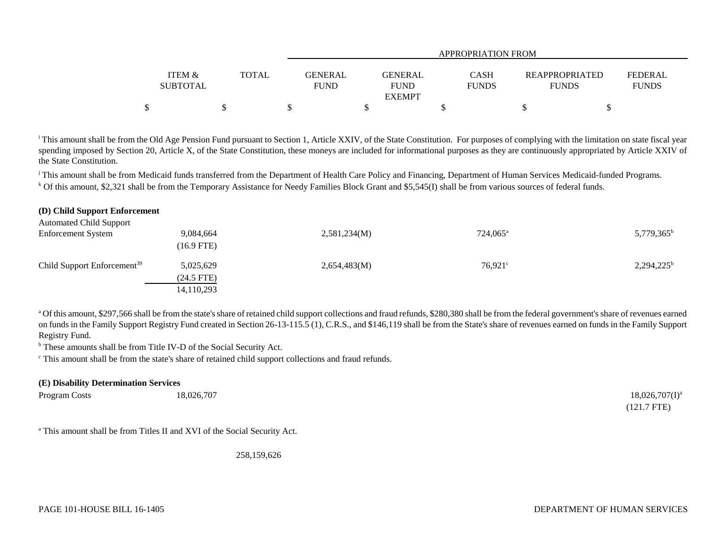|                   |              |                | APPROPRIATION FROM |              |                |              |  |  |  |  |
|-------------------|--------------|----------------|--------------------|--------------|----------------|--------------|--|--|--|--|
| <b>ITEM &amp;</b> | <b>TOTAL</b> | <b>GENERAL</b> | <b>GENERAL</b>     | CASH         | REAPPROPRIATED | FEDERAL      |  |  |  |  |
| <b>SUBTOTAL</b>   |              | <b>FUND</b>    | <b>FUND</b>        | <b>FUNDS</b> | <b>FUNDS</b>   | <b>FUNDS</b> |  |  |  |  |
|                   |              |                | <b>EXEMPT</b>      |              |                |              |  |  |  |  |
| ¢<br>Φ            |              |                |                    |              |                |              |  |  |  |  |

<sup>i</sup> This amount shall be from the Old Age Pension Fund pursuant to Section 1, Article XXIV, of the State Constitution. For purposes of complying with the limitation on state fiscal year spending imposed by Section 20, Article X, of the State Constitution, these moneys are included for informational purposes as they are continuously appropriated by Article XXIV of the State Constitution.

<sup>j</sup> This amount shall be from Medicaid funds transferred from the Department of Health Care Policy and Financing, Department of Human Services Medicaid-funded Programs. <sup>k</sup> Of this amount, \$2,321 shall be from the Temporary Assistance for Needy Families Block Grant and \$5,545(I) shall be from various sources of federal funds.

| (D) Child Support Enforcement           |              |              |                   |               |
|-----------------------------------------|--------------|--------------|-------------------|---------------|
| <b>Automated Child Support</b>          |              |              |                   |               |
| <b>Enforcement System</b>               | 9,084,664    | 2,581,234(M) | $724,065^{\circ}$ | $5,779,365^b$ |
|                                         | $(16.9$ FTE) |              |                   |               |
| Child Support Enforcement <sup>39</sup> | 5,025,629    | 2,654,483(M) | $76,921^{\circ}$  | $2,294,225^b$ |
|                                         | $(24.5$ FTE) |              |                   |               |
|                                         | 14,110,293   |              |                   |               |

<sup>a</sup> Of this amount, \$297,566 shall be from the state's share of retained child support collections and fraud refunds, \$280,380 shall be from the federal government's share of revenues earned on funds in the Family Support Registry Fund created in Section 26-13-115.5 (1), C.R.S., and \$146,119 shall be from the State's share of revenues earned on funds in the Family Support Registry Fund.

b These amounts shall be from Title IV-D of the Social Security Act.

c This amount shall be from the state's share of retained child support collections and fraud refunds.

| (E) Disability Determination Services |            |                   |
|---------------------------------------|------------|-------------------|
| Program Costs                         | 18,026,707 | $18,026,707(1)^a$ |
|                                       |            | $(121.7$ FTE)     |

a This amount shall be from Titles II and XVI of the Social Security Act.

258,159,626

 $\sum_{i=1}^{n}$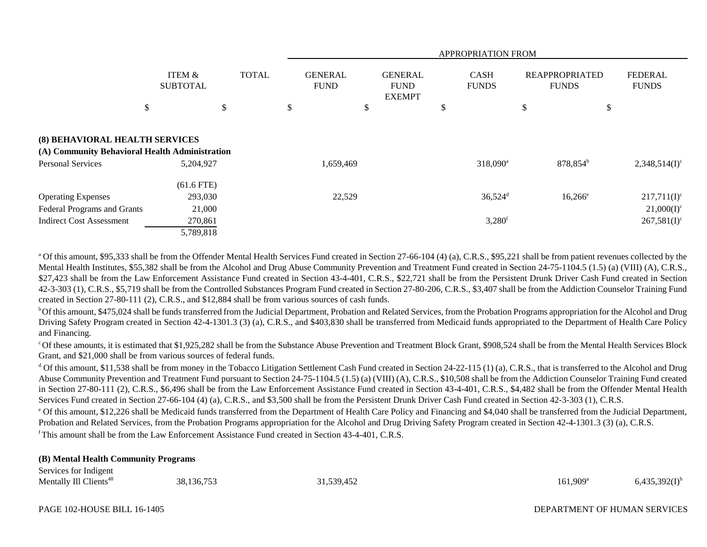|                                                                                                              |                                                           | <b>APPROPRIATION FROM</b> |                               |           |                                                |    |                                               |                                       |                                                   |
|--------------------------------------------------------------------------------------------------------------|-----------------------------------------------------------|---------------------------|-------------------------------|-----------|------------------------------------------------|----|-----------------------------------------------|---------------------------------------|---------------------------------------------------|
|                                                                                                              | ITEM &<br><b>SUBTOTAL</b>                                 | <b>TOTAL</b>              | <b>GENERAL</b><br><b>FUND</b> |           | <b>GENERAL</b><br><b>FUND</b><br><b>EXEMPT</b> |    | <b>CASH</b><br><b>FUNDS</b>                   | <b>REAPPROPRIATED</b><br><b>FUNDS</b> | <b>FEDERAL</b><br><b>FUNDS</b>                    |
|                                                                                                              | \$                                                        | \$                        | \$                            | \$        |                                                | \$ |                                               | \$                                    | \$                                                |
| (8) BEHAVIORAL HEALTH SERVICES<br>(A) Community Behavioral Health Administration<br><b>Personal Services</b> | 5,204,927                                                 |                           |                               | 1,659,469 |                                                |    | $318,090^a$                                   | 878,854 <sup>b</sup>                  | $2,348,514(I)^c$                                  |
| <b>Operating Expenses</b><br>Federal Programs and Grants<br><b>Indirect Cost Assessment</b>                  | $(61.6$ FTE)<br>293,030<br>21,000<br>270,861<br>5,789,818 |                           |                               | 22,529    |                                                |    | $36,524$ <sup>d</sup><br>$3,280$ <sup>f</sup> | $16,266^{\circ}$                      | $217,711(I)^c$<br>$21,000(I)^c$<br>$267,581(I)^c$ |

<sup>a</sup> Of this amount, \$95,333 shall be from the Offender Mental Health Services Fund created in Section 27-66-104 (4) (a), C.R.S., \$95,221 shall be from patient revenues collected by the Mental Health Institutes, \$55,382 shall be from the Alcohol and Drug Abuse Community Prevention and Treatment Fund created in Section 24-75-1104.5 (1.5) (a) (VIII) (A), C.R.S., \$27,423 shall be from the Law Enforcement Assistance Fund created in Section 43-4-401, C.R.S., \$22,721 shall be from the Persistent Drunk Driver Cash Fund created in Section 42-3-303 (1), C.R.S., \$5,719 shall be from the Controlled Substances Program Fund created in Section 27-80-206, C.R.S., \$3,407 shall be from the Addiction Counselor Training Fund created in Section 27-80-111 (2), C.R.S., and \$12,884 shall be from various sources of cash funds.

<sup>b</sup>Of this amount, \$475,024 shall be funds transferred from the Judicial Department, Probation and Related Services, from the Probation Programs appropriation for the Alcohol and Drug Driving Safety Program created in Section 42-4-1301.3 (3) (a), C.R.S., and \$403,830 shall be transferred from Medicaid funds appropriated to the Department of Health Care Policy and Financing.

c Of these amounts, it is estimated that \$1,925,282 shall be from the Substance Abuse Prevention and Treatment Block Grant, \$908,524 shall be from the Mental Health Services Block Grant, and \$21,000 shall be from various sources of federal funds.

<sup>d</sup> Of this amount, \$11,538 shall be from money in the Tobacco Litigation Settlement Cash Fund created in Section 24-22-115 (1) (a), C.R.S., that is transferred to the Alcohol and Drug Abuse Community Prevention and Treatment Fund pursuant to Section 24-75-1104.5 (1.5) (a) (VIII) (A), C.R.S., \$10,508 shall be from the Addiction Counselor Training Fund created in Section 27-80-111 (2), C.R.S., \$6,496 shall be from the Law Enforcement Assistance Fund created in Section 43-4-401, C.R.S., \$4,482 shall be from the Offender Mental Health Services Fund created in Section 27-66-104 (4) (a), C.R.S., and \$3,500 shall be from the Persistent Drunk Driver Cash Fund created in Section 42-3-303 (1), C.R.S.

e Of this amount, \$12,226 shall be Medicaid funds transferred from the Department of Health Care Policy and Financing and \$4,040 shall be transferred from the Judicial Department, Probation and Related Services, from the Probation Programs appropriation for the Alcohol and Drug Driving Safety Program created in Section 42-4-1301.3 (3) (a), C.R.S. f This amount shall be from the Law Enforcement Assistance Fund created in Section 43-4-401, C.R.S.

## **(B) Mental Health Community Programs**

| Services for Indigent              |            |           |                        |                    |
|------------------------------------|------------|-----------|------------------------|--------------------|
| Mentally Ill Clients <sup>48</sup> | 38,136,753 | 1,539,452 | $161,909$ <sup>a</sup> | $6,435,392(1)^{b}$ |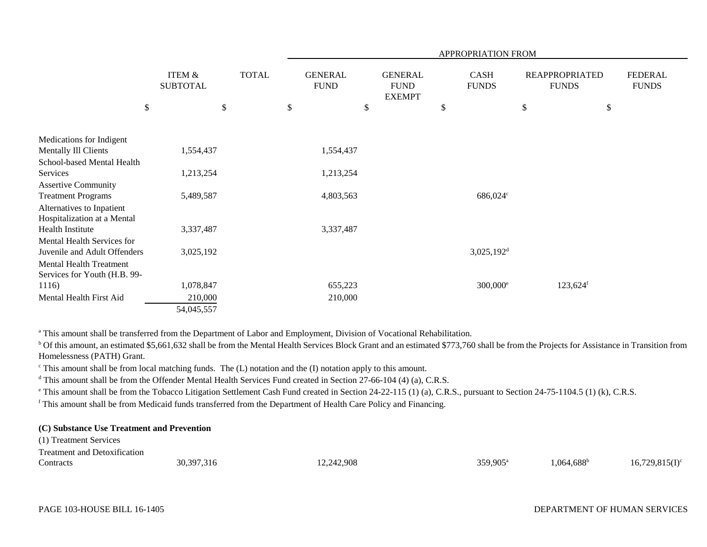|                                                                |                                      |              |                               |                                                | APPROPRIATION FROM          |      |                                       |                                |
|----------------------------------------------------------------|--------------------------------------|--------------|-------------------------------|------------------------------------------------|-----------------------------|------|---------------------------------------|--------------------------------|
|                                                                | <b>ITEM &amp;</b><br><b>SUBTOTAL</b> | <b>TOTAL</b> | <b>GENERAL</b><br><b>FUND</b> | <b>GENERAL</b><br><b>FUND</b><br><b>EXEMPT</b> | <b>CASH</b><br><b>FUNDS</b> |      | <b>REAPPROPRIATED</b><br><b>FUNDS</b> | <b>FEDERAL</b><br><b>FUNDS</b> |
| \$                                                             |                                      | $\mathbb{S}$ | \$<br>\$                      |                                                | \$                          | $\$$ |                                       | \$                             |
| Medications for Indigent                                       |                                      |              |                               |                                                |                             |      |                                       |                                |
| Mentally Ill Clients                                           | 1,554,437                            |              | 1,554,437                     |                                                |                             |      |                                       |                                |
| School-based Mental Health<br>Services                         | 1,213,254                            |              | 1,213,254                     |                                                |                             |      |                                       |                                |
| <b>Assertive Community</b>                                     |                                      |              |                               |                                                |                             |      |                                       |                                |
| <b>Treatment Programs</b><br>Alternatives to Inpatient         | 5,489,587                            |              | 4,803,563                     |                                                | 686,024°                    |      |                                       |                                |
| Hospitalization at a Mental                                    |                                      |              |                               |                                                |                             |      |                                       |                                |
| <b>Health Institute</b>                                        | 3,337,487                            |              | 3,337,487                     |                                                |                             |      |                                       |                                |
| Mental Health Services for<br>Juvenile and Adult Offenders     | 3,025,192                            |              |                               |                                                | $3,025,192$ <sup>d</sup>    |      |                                       |                                |
| <b>Mental Health Treatment</b><br>Services for Youth (H.B. 99- |                                      |              |                               |                                                |                             |      |                                       |                                |
| 1116)                                                          | 1,078,847                            |              | 655,223                       |                                                | 300,000 <sup>e</sup>        |      | $123,624$ <sup>f</sup>                |                                |
| Mental Health First Aid                                        | 210,000                              |              | 210,000                       |                                                |                             |      |                                       |                                |
|                                                                | 54,045,557                           |              |                               |                                                |                             |      |                                       |                                |

<sup>a</sup> This amount shall be transferred from the Department of Labor and Employment, Division of Vocational Rehabilitation.

<sup>b</sup> Of this amount, an estimated \$5,661,632 shall be from the Mental Health Services Block Grant and an estimated \$773,760 shall be from the Projects for Assistance in Transition from Homelessness (PATH) Grant.

 $\epsilon$  This amount shall be from local matching funds. The (L) notation and the (I) notation apply to this amount.

<sup>d</sup> This amount shall be from the Offender Mental Health Services Fund created in Section 27-66-104 (4) (a), C.R.S.

<sup>e</sup> This amount shall be from the Tobacco Litigation Settlement Cash Fund created in Section 24-22-115 (1) (a), C.R.S., pursuant to Section 24-75-1104.5 (1) (k), C.R.S.

f This amount shall be from Medicaid funds transferred from the Department of Health Care Policy and Financing.

# **(C) Substance Use Treatment and Prevention**

(1) Treatment Services Treatment and Deterification

| I reatment and Detoxincation |            |            |                   |                         |                   |
|------------------------------|------------|------------|-------------------|-------------------------|-------------------|
| Contracts                    | 30,397,316 | 12,242,908 | $359.905^{\circ}$ | $+.688^{\circ}$<br>.064 | $16,729,815(I)^c$ |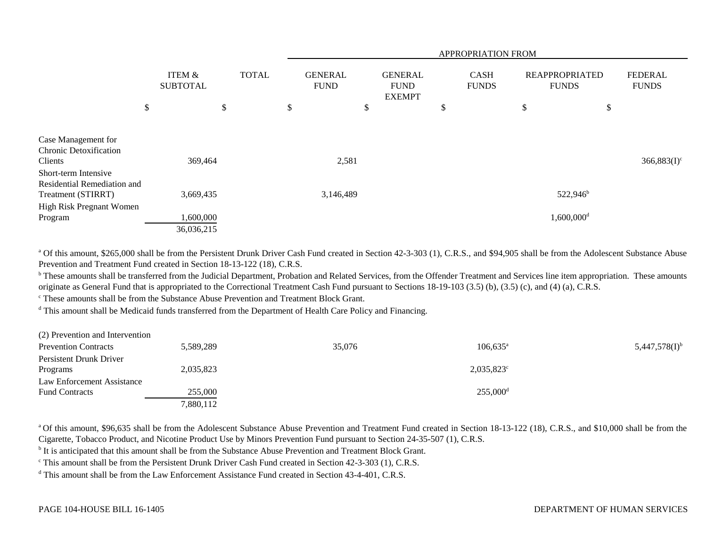|                                                                                                       |                           |    |              |    | APPROPRIATION FROM            |    |                                                |    |                             |                                       |                          |    |                                |
|-------------------------------------------------------------------------------------------------------|---------------------------|----|--------------|----|-------------------------------|----|------------------------------------------------|----|-----------------------------|---------------------------------------|--------------------------|----|--------------------------------|
|                                                                                                       | ITEM &<br><b>SUBTOTAL</b> |    | <b>TOTAL</b> |    | <b>GENERAL</b><br><b>FUND</b> |    | <b>GENERAL</b><br><b>FUND</b><br><b>EXEMPT</b> |    | <b>CASH</b><br><b>FUNDS</b> | <b>REAPPROPRIATED</b><br><b>FUNDS</b> |                          |    | <b>FEDERAL</b><br><b>FUNDS</b> |
|                                                                                                       | \$                        | \$ |              | \$ |                               | \$ |                                                | \$ |                             | \$                                    |                          | \$ |                                |
| Case Management for<br><b>Chronic Detoxification</b><br>Clients                                       | 369,464                   |    |              |    | 2,581                         |    |                                                |    |                             |                                       |                          |    | $366,883(I)^c$                 |
| Short-term Intensive<br>Residential Remediation and<br>Treatment (STIRRT)<br>High Risk Pregnant Women | 3,669,435                 |    |              |    | 3,146,489                     |    |                                                |    |                             |                                       | $522,946^{\circ}$        |    |                                |
| Program                                                                                               | 1,600,000<br>36,036,215   |    |              |    |                               |    |                                                |    |                             |                                       | $1,600,000$ <sup>d</sup> |    |                                |

<sup>a</sup> Of this amount, \$265,000 shall be from the Persistent Drunk Driver Cash Fund created in Section 42-3-303 (1), C.R.S., and \$94,905 shall be from the Adolescent Substance Abuse Prevention and Treatment Fund created in Section 18-13-122 (18), C.R.S.

<sup>b</sup> These amounts shall be transferred from the Judicial Department, Probation and Related Services, from the Offender Treatment and Services line item appropriation. These amounts originate as General Fund that is appropriated to the Correctional Treatment Cash Fund pursuant to Sections 18-19-103 (3.5) (b), (3.5) (c), and (4) (a), C.R.S.

c These amounts shall be from the Substance Abuse Prevention and Treatment Block Grant.

<sup>d</sup> This amount shall be Medicaid funds transferred from the Department of Health Care Policy and Financing.

| (2) Prevention and Intervention |           |        |                        |                             |
|---------------------------------|-----------|--------|------------------------|-----------------------------|
| <b>Prevention Contracts</b>     | 5,589,289 | 35,076 | $106,635$ <sup>a</sup> | $5,447,578(1)$ <sup>b</sup> |
| Persistent Drunk Driver         |           |        |                        |                             |
| Programs                        | 2,035,823 |        | $2,035,823^{\circ}$    |                             |
| Law Enforcement Assistance      |           |        |                        |                             |
| <b>Fund Contracts</b>           | 255,000   |        | $255,000$ <sup>d</sup> |                             |
|                                 | 7,880,112 |        |                        |                             |

<sup>a</sup> Of this amount, \$96,635 shall be from the Adolescent Substance Abuse Prevention and Treatment Fund created in Section 18-13-122 (18), C.R.S., and \$10,000 shall be from the Cigarette, Tobacco Product, and Nicotine Product Use by Minors Prevention Fund pursuant to Section 24-35-507 (1), C.R.S.

<sup>b</sup> It is anticipated that this amount shall be from the Substance Abuse Prevention and Treatment Block Grant.

<sup>c</sup> This amount shall be from the Persistent Drunk Driver Cash Fund created in Section 42-3-303 (1), C.R.S.

<sup>d</sup> This amount shall be from the Law Enforcement Assistance Fund created in Section 43-4-401, C.R.S.

## DEPARTMENT OF HUMAN SERVICES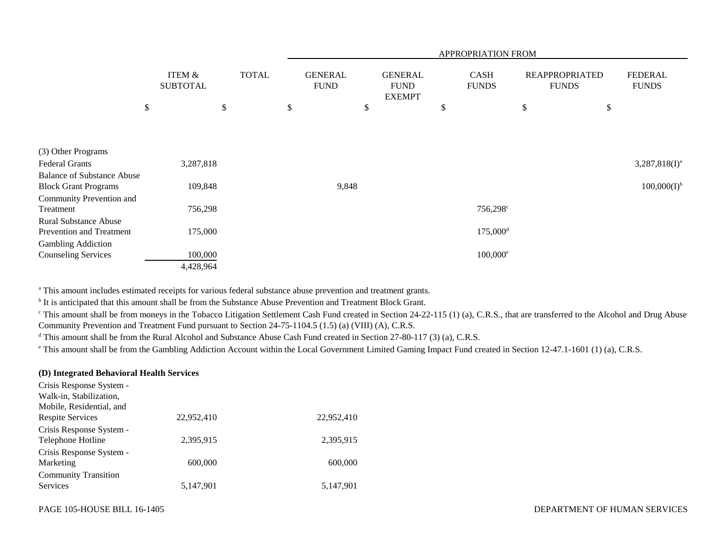|                                   |                           |              | APPROPRIATION FROM            |                                                |    |                             |                                       |                                |  |
|-----------------------------------|---------------------------|--------------|-------------------------------|------------------------------------------------|----|-----------------------------|---------------------------------------|--------------------------------|--|
|                                   | ITEM &<br><b>SUBTOTAL</b> | <b>TOTAL</b> | <b>GENERAL</b><br><b>FUND</b> | <b>GENERAL</b><br><b>FUND</b><br><b>EXEMPT</b> |    | <b>CASH</b><br><b>FUNDS</b> | <b>REAPPROPRIATED</b><br><b>FUNDS</b> | <b>FEDERAL</b><br><b>FUNDS</b> |  |
|                                   | \$                        | \$<br>\$     |                               | \$                                             | \$ |                             | \$                                    | \$                             |  |
|                                   |                           |              |                               |                                                |    |                             |                                       |                                |  |
|                                   |                           |              |                               |                                                |    |                             |                                       |                                |  |
| (3) Other Programs                |                           |              |                               |                                                |    |                             |                                       |                                |  |
| <b>Federal Grants</b>             | 3,287,818                 |              |                               |                                                |    |                             |                                       | $3,287,818(I)^a$               |  |
| <b>Balance of Substance Abuse</b> |                           |              |                               |                                                |    |                             |                                       |                                |  |
| <b>Block Grant Programs</b>       | 109,848                   |              | 9,848                         |                                                |    |                             |                                       | $100,000(I)^{b}$               |  |
| Community Prevention and          |                           |              |                               |                                                |    |                             |                                       |                                |  |
| Treatment                         | 756,298                   |              |                               |                                                |    | 756,298 <sup>c</sup>        |                                       |                                |  |
| <b>Rural Substance Abuse</b>      |                           |              |                               |                                                |    |                             |                                       |                                |  |
| Prevention and Treatment          | 175,000                   |              |                               |                                                |    | $175,000$ <sup>d</sup>      |                                       |                                |  |
| <b>Gambling Addiction</b>         |                           |              |                               |                                                |    |                             |                                       |                                |  |
| <b>Counseling Services</b>        | 100,000                   |              |                               |                                                |    | $100,000^{\circ}$           |                                       |                                |  |
|                                   | 4,428,964                 |              |                               |                                                |    |                             |                                       |                                |  |

<sup>a</sup> This amount includes estimated receipts for various federal substance abuse prevention and treatment grants.

<sup>b</sup> It is anticipated that this amount shall be from the Substance Abuse Prevention and Treatment Block Grant.

<sup>c</sup> This amount shall be from moneys in the Tobacco Litigation Settlement Cash Fund created in Section 24-22-115 (1) (a), C.R.S., that are transferred to the Alcohol and Drug Abuse Community Prevention and Treatment Fund pursuant to Section 24-75-1104.5 (1.5) (a) (VIII) (A), C.R.S.

<sup>d</sup> This amount shall be from the Rural Alcohol and Substance Abuse Cash Fund created in Section 27-80-117 (3) (a), C.R.S.

<sup>e</sup> This amount shall be from the Gambling Addiction Account within the Local Government Limited Gaming Impact Fund created in Section 12-47.1-1601 (1) (a), C.R.S.

## **(D) Integrated Behavioral Health Services**

| Crisis Response System -    |            |            |
|-----------------------------|------------|------------|
| Walk-in, Stabilization,     |            |            |
| Mobile, Residential, and    |            |            |
| <b>Respite Services</b>     | 22,952,410 | 22,952,410 |
| Crisis Response System -    |            |            |
| Telephone Hotline           | 2.395.915  | 2,395,915  |
| Crisis Response System -    |            |            |
| Marketing                   | 600,000    | 600,000    |
| <b>Community Transition</b> |            |            |
| Services                    | 5,147,901  | 5,147,901  |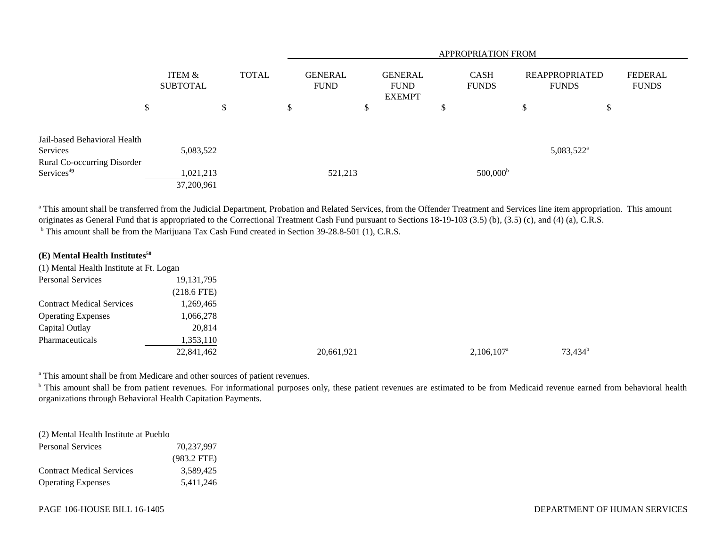|                                                       |                           |              |                               | <b>APPROPRIATION FROM</b>                      |                             |                                       |                         |  |  |  |  |  |
|-------------------------------------------------------|---------------------------|--------------|-------------------------------|------------------------------------------------|-----------------------------|---------------------------------------|-------------------------|--|--|--|--|--|
|                                                       | ITEM &<br><b>SUBTOTAL</b> | <b>TOTAL</b> | <b>GENERAL</b><br><b>FUND</b> | <b>GENERAL</b><br><b>FUND</b><br><b>EXEMPT</b> | <b>CASH</b><br><b>FUNDS</b> | <b>REAPPROPRIATED</b><br><b>FUNDS</b> | FEDERAL<br><b>FUNDS</b> |  |  |  |  |  |
|                                                       | \$                        | \$           | ۰D                            | D                                              | Φ<br>Ф                      | \$                                    | \$                      |  |  |  |  |  |
| Jail-based Behavioral Health<br>Services              | 5,083,522                 |              |                               |                                                |                             | $5,083,522^{\text{a}}$                |                         |  |  |  |  |  |
| Rural Co-occurring Disorder<br>Services <sup>49</sup> | 1,021,213<br>37,200,961   |              | 521,213                       |                                                | $500,000^{\rm b}$           |                                       |                         |  |  |  |  |  |

<sup>a</sup> This amount shall be transferred from the Judicial Department, Probation and Related Services, from the Offender Treatment and Services line item appropriation. This amount originates as General Fund that is appropriated to the Correctional Treatment Cash Fund pursuant to Sections 18-19-103 (3.5) (b), (3.5) (c), and (4) (a), C.R.S. <sup>b</sup> This amount shall be from the Marijuana Tax Cash Fund created in Section 39-28.8-501 (1), C.R.S.

**(E) Mental Health Institutes<sup>50</sup>**

| (1) Mental Health Institute at Ft. Logan |               |            |                     |            |
|------------------------------------------|---------------|------------|---------------------|------------|
| <b>Personal Services</b>                 | 19, 131, 795  |            |                     |            |
|                                          | $(218.6$ FTE) |            |                     |            |
| <b>Contract Medical Services</b>         | 1,269,465     |            |                     |            |
| <b>Operating Expenses</b>                | 1,066,278     |            |                     |            |
| Capital Outlay                           | 20,814        |            |                     |            |
| Pharmaceuticals                          | 1,353,110     |            |                     |            |
|                                          | 22,841,462    | 20,661,921 | $2,106,107^{\circ}$ | $73,434^b$ |

a This amount shall be from Medicare and other sources of patient revenues.

<sup>b</sup> This amount shall be from patient revenues. For informational purposes only, these patient revenues are estimated to be from Medicaid revenue earned from behavioral health organizations through Behavioral Health Capitation Payments.

| (2) Mental Health Institute at Pueblo |               |
|---------------------------------------|---------------|
| <b>Personal Services</b>              | 70.237.997    |
|                                       | $(983.2$ FTE) |
| <b>Contract Medical Services</b>      | 3.589.425     |
| <b>Operating Expenses</b>             | 5.411.246     |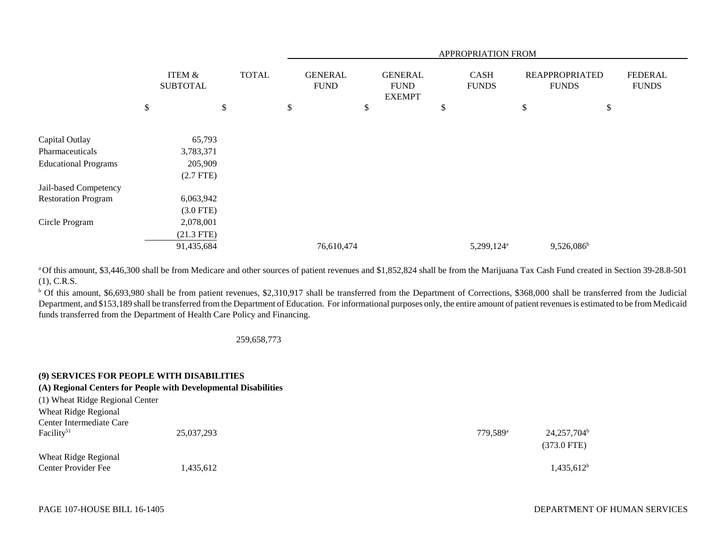|                             |                                      |              | APPROPRIATION FROM            |    |                                                |    |                             |    |                                       |                                |
|-----------------------------|--------------------------------------|--------------|-------------------------------|----|------------------------------------------------|----|-----------------------------|----|---------------------------------------|--------------------------------|
|                             | <b>ITEM &amp;</b><br><b>SUBTOTAL</b> | <b>TOTAL</b> | <b>GENERAL</b><br><b>FUND</b> |    | <b>GENERAL</b><br><b>FUND</b><br><b>EXEMPT</b> |    | <b>CASH</b><br><b>FUNDS</b> |    | <b>REAPPROPRIATED</b><br><b>FUNDS</b> | <b>FEDERAL</b><br><b>FUNDS</b> |
|                             | \$                                   | \$           | \$                            | \$ |                                                | \$ |                             | \$ |                                       | \$                             |
|                             |                                      |              |                               |    |                                                |    |                             |    |                                       |                                |
| Capital Outlay              | 65,793                               |              |                               |    |                                                |    |                             |    |                                       |                                |
| Pharmaceuticals             | 3,783,371                            |              |                               |    |                                                |    |                             |    |                                       |                                |
| <b>Educational Programs</b> | 205,909                              |              |                               |    |                                                |    |                             |    |                                       |                                |
|                             | $(2.7$ FTE)                          |              |                               |    |                                                |    |                             |    |                                       |                                |
| Jail-based Competency       |                                      |              |                               |    |                                                |    |                             |    |                                       |                                |
| <b>Restoration Program</b>  | 6,063,942                            |              |                               |    |                                                |    |                             |    |                                       |                                |
|                             | $(3.0$ FTE)                          |              |                               |    |                                                |    |                             |    |                                       |                                |
| Circle Program              | 2,078,001                            |              |                               |    |                                                |    |                             |    |                                       |                                |
|                             | $(21.3$ FTE)                         |              |                               |    |                                                |    |                             |    |                                       |                                |
|                             | 91,435,684                           |              | 76,610,474                    |    |                                                |    | 5,299,124 <sup>a</sup>      |    | $9,526,086^b$                         |                                |

a Of this amount, \$3,446,300 shall be from Medicare and other sources of patient revenues and \$1,852,824 shall be from the Marijuana Tax Cash Fund created in Section 39-28.8-501 (1), C.R.S.

b Of this amount, \$6,693,980 shall be from patient revenues, \$2,310,917 shall be transferred from the Department of Corrections, \$368,000 shall be transferred from the Judicial Department, and \$153,189 shall be transferred from the Department of Education. For informational purposes only, the entire amount of patient revenues is estimated to be from Medicaid funds transferred from the Department of Health Care Policy and Financing.

## 259,658,773

## **(9) SERVICES FOR PEOPLE WITH DISABILITIES**

## **(A) Regional Centers for People with Developmental Disabilities**

(1) Wheat Ridge Regional Center Wheat Ridge Regional

| Center Intermediate Care<br>Facility <sup>51</sup> | 25,037,293 | 779.589 <sup>a</sup> | $24,257,704^{\rm b}$<br>$(373.0$ FTE) |
|----------------------------------------------------|------------|----------------------|---------------------------------------|
| Wheat Ridge Regional<br>Center Provider Fee        | 1,435,612  |                      | $1,435,612^b$                         |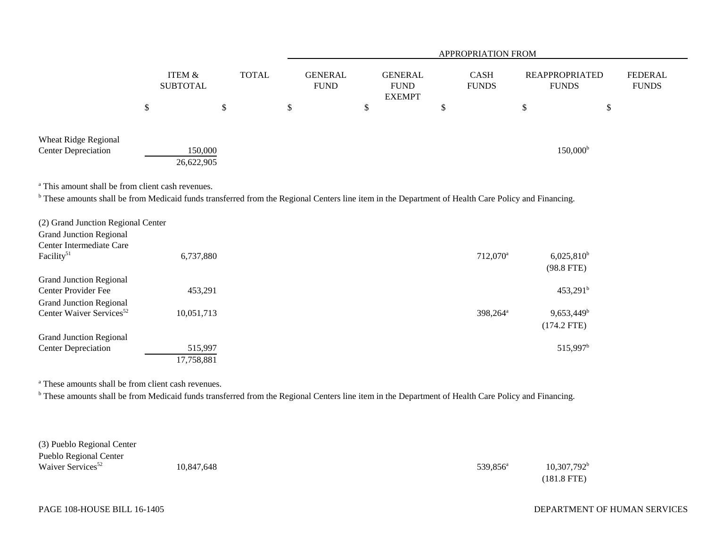|                                                    |               |                                                      |   |  | <b>APPROPRIATION FROM</b>                                                       |    |                                                                      |    |  |                         |                   |  |
|----------------------------------------------------|---------------|------------------------------------------------------|---|--|---------------------------------------------------------------------------------|----|----------------------------------------------------------------------|----|--|-------------------------|-------------------|--|
|                                                    |               | <b>ITEM &amp;</b><br><b>TOTAL</b><br><b>SUBTOTAL</b> |   |  | <b>GENERAL</b><br><b>GENERAL</b><br><b>FUND</b><br><b>FUND</b><br><b>EXEMPT</b> |    | <b>CASH</b><br><b>REAPPROPRIATED</b><br><b>FUNDS</b><br><b>FUNDS</b> |    |  | FEDERAL<br><b>FUNDS</b> |                   |  |
|                                                    | <sup>\$</sup> |                                                      | P |  |                                                                                 | \$ |                                                                      | \$ |  |                         | \$                |  |
| Wheat Ridge Regional<br><b>Center Depreciation</b> |               | 150,000<br>26,622,905                                |   |  |                                                                                 |    |                                                                      |    |  |                         | $150,000^{\rm b}$ |  |

<sup>a</sup> This amount shall be from client cash revenues.

<sup>b</sup> These amounts shall be from Medicaid funds transferred from the Regional Centers line item in the Department of Health Care Policy and Financing.

| 6,737,880  | 712,070 <sup>a</sup> | 6,025,810 <sup>b</sup>   |
|------------|----------------------|--------------------------|
|            |                      | $(98.8$ FTE)             |
|            |                      |                          |
| 453,291    |                      | $453,291$ <sup>b</sup>   |
|            |                      |                          |
| 10,051,713 | 398.264 <sup>a</sup> | $9,653,449$ <sup>b</sup> |
|            |                      | $(174.2$ FTE)            |
|            |                      |                          |
| 515,997    |                      | 515,997 <sup>b</sup>     |
| 17,758,881 |                      |                          |
|            |                      |                          |

a These amounts shall be from client cash revenues.

<sup>b</sup> These amounts shall be from Medicaid funds transferred from the Regional Centers line item in the Department of Health Care Policy and Financing.

| (3) Pueblo Regional Center    |            |                      |                      |
|-------------------------------|------------|----------------------|----------------------|
| Pueblo Regional Center        |            |                      |                      |
| Waiver Services <sup>52</sup> | 10,847,648 | 539,856 <sup>a</sup> | $10,307,792^{\rm b}$ |
|                               |            |                      | (181.8 FTE)          |
|                               |            |                      |                      |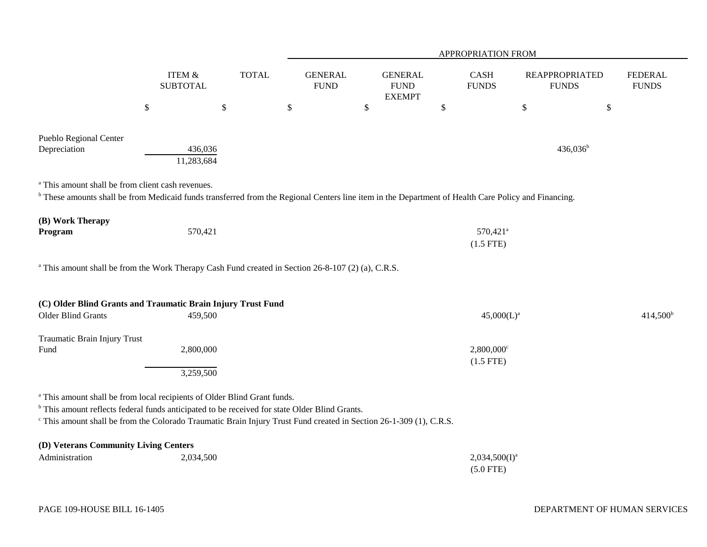|                                                                                                                                                                                                                                                                                                                                  |                           |              | APPROPRIATION FROM            |                                                 |                                         |                                       |                                |  |  |  |  |  |
|----------------------------------------------------------------------------------------------------------------------------------------------------------------------------------------------------------------------------------------------------------------------------------------------------------------------------------|---------------------------|--------------|-------------------------------|-------------------------------------------------|-----------------------------------------|---------------------------------------|--------------------------------|--|--|--|--|--|
|                                                                                                                                                                                                                                                                                                                                  | ITEM &<br><b>SUBTOTAL</b> | <b>TOTAL</b> | <b>GENERAL</b><br><b>FUND</b> | <b>GENERAL</b><br>${\rm FUND}$<br><b>EXEMPT</b> | CASH<br><b>FUNDS</b>                    | <b>REAPPROPRIATED</b><br><b>FUNDS</b> | <b>FEDERAL</b><br><b>FUNDS</b> |  |  |  |  |  |
|                                                                                                                                                                                                                                                                                                                                  | $\$$                      | $\$$         | $\$$                          | \$                                              | \$                                      | $\$$                                  | \$                             |  |  |  |  |  |
| Pueblo Regional Center<br>Depreciation                                                                                                                                                                                                                                                                                           | 436,036<br>11,283,684     |              |                               |                                                 |                                         | $436,036^b$                           |                                |  |  |  |  |  |
| <sup>a</sup> This amount shall be from client cash revenues.<br><sup>b</sup> These amounts shall be from Medicaid funds transferred from the Regional Centers line item in the Department of Health Care Policy and Financing.                                                                                                   |                           |              |                               |                                                 |                                         |                                       |                                |  |  |  |  |  |
| (B) Work Therapy<br>Program                                                                                                                                                                                                                                                                                                      | 570,421                   |              |                               |                                                 | 570,421 <sup>a</sup><br>$(1.5$ FTE)     |                                       |                                |  |  |  |  |  |
| <sup>a</sup> This amount shall be from the Work Therapy Cash Fund created in Section 26-8-107 (2) (a), C.R.S.                                                                                                                                                                                                                    |                           |              |                               |                                                 |                                         |                                       |                                |  |  |  |  |  |
| (C) Older Blind Grants and Traumatic Brain Injury Trust Fund                                                                                                                                                                                                                                                                     |                           |              |                               |                                                 |                                         |                                       |                                |  |  |  |  |  |
| Older Blind Grants                                                                                                                                                                                                                                                                                                               | 459,500                   |              |                               |                                                 | $45,000(L)^a$                           |                                       | $414,500^b$                    |  |  |  |  |  |
| Traumatic Brain Injury Trust<br>Fund                                                                                                                                                                                                                                                                                             | 2,800,000<br>3,259,500    |              |                               |                                                 | $2,800,000$ <sup>c</sup><br>$(1.5$ FTE) |                                       |                                |  |  |  |  |  |
| <sup>a</sup> This amount shall be from local recipients of Older Blind Grant funds.<br><sup>b</sup> This amount reflects federal funds anticipated to be received for state Older Blind Grants.<br><sup>c</sup> This amount shall be from the Colorado Traumatic Brain Injury Trust Fund created in Section 26-1-309 (1), C.R.S. |                           |              |                               |                                                 |                                         |                                       |                                |  |  |  |  |  |
| (D) Veterans Community Living Centers<br>Administration                                                                                                                                                                                                                                                                          | 2,034,500                 |              |                               |                                                 | $2,034,500(I)^a$<br>$(5.0$ FTE)         |                                       |                                |  |  |  |  |  |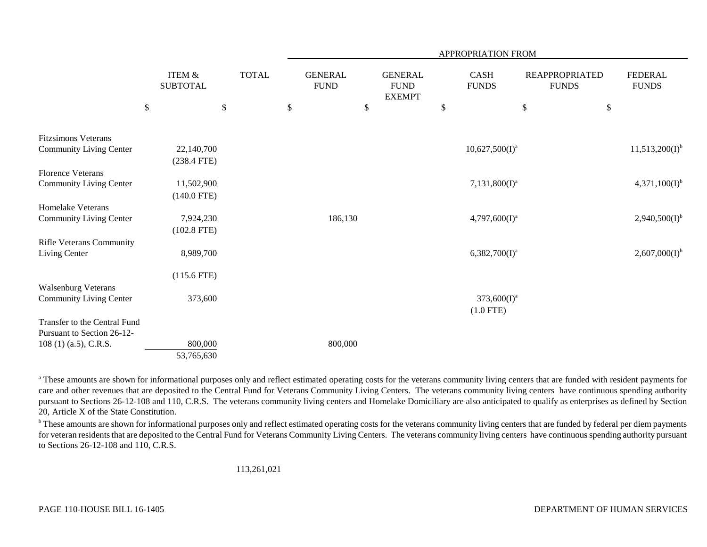|                                 |                                           |                    |                                      |                                                      | APPROPRIATION FROM         |              |                                       |                                      |
|---------------------------------|-------------------------------------------|--------------------|--------------------------------------|------------------------------------------------------|----------------------------|--------------|---------------------------------------|--------------------------------------|
|                                 | ITEM &<br><b>SUBTOTAL</b><br>$\mathbb{S}$ | \$<br><b>TOTAL</b> | \$<br><b>GENERAL</b><br>${\rm FUND}$ | \$<br><b>GENERAL</b><br><b>FUND</b><br><b>EXEMPT</b> | \$<br>CASH<br><b>FUNDS</b> | $\mathbb{S}$ | <b>REAPPROPRIATED</b><br><b>FUNDS</b> | \$<br><b>FEDERAL</b><br><b>FUNDS</b> |
|                                 |                                           |                    |                                      |                                                      |                            |              |                                       |                                      |
| <b>Fitzsimons Veterans</b>      |                                           |                    |                                      |                                                      |                            |              |                                       |                                      |
| <b>Community Living Center</b>  | 22,140,700                                |                    |                                      |                                                      | $10,627,500(I)^a$          |              |                                       | $11,513,200(I)^{b}$                  |
|                                 | $(238.4$ FTE)                             |                    |                                      |                                                      |                            |              |                                       |                                      |
| <b>Florence Veterans</b>        |                                           |                    |                                      |                                                      |                            |              |                                       |                                      |
| Community Living Center         | 11,502,900                                |                    |                                      |                                                      | $7,131,800(I)^a$           |              |                                       | $4,371,100(I)^{b}$                   |
|                                 | $(140.0$ FTE)                             |                    |                                      |                                                      |                            |              |                                       |                                      |
| Homelake Veterans               |                                           |                    |                                      |                                                      |                            |              |                                       |                                      |
| Community Living Center         | 7,924,230                                 |                    | 186,130                              |                                                      | $4,797,600(I)^a$           |              |                                       | $2,940,500(I)^{b}$                   |
|                                 | $(102.8$ FTE)                             |                    |                                      |                                                      |                            |              |                                       |                                      |
| <b>Rifle Veterans Community</b> |                                           |                    |                                      |                                                      |                            |              |                                       |                                      |
| Living Center                   | 8,989,700                                 |                    |                                      |                                                      | $6,382,700(I)^a$           |              |                                       | $2,607,000(I)^{b}$                   |
|                                 | $(115.6$ FTE)                             |                    |                                      |                                                      |                            |              |                                       |                                      |
| <b>Walsenburg Veterans</b>      |                                           |                    |                                      |                                                      |                            |              |                                       |                                      |
| Community Living Center         | 373,600                                   |                    |                                      |                                                      | $373,600(I)^a$             |              |                                       |                                      |
|                                 |                                           |                    |                                      |                                                      | $(1.0$ FTE)                |              |                                       |                                      |
| Transfer to the Central Fund    |                                           |                    |                                      |                                                      |                            |              |                                       |                                      |
| Pursuant to Section 26-12-      |                                           |                    |                                      |                                                      |                            |              |                                       |                                      |
| $108(1)$ (a.5), C.R.S.          | 800,000                                   |                    | 800,000                              |                                                      |                            |              |                                       |                                      |
|                                 | 53,765,630                                |                    |                                      |                                                      |                            |              |                                       |                                      |

<sup>a</sup> These amounts are shown for informational purposes only and reflect estimated operating costs for the veterans community living centers that are funded with resident payments for care and other revenues that are deposited to the Central Fund for Veterans Community Living Centers. The veterans community living centers have continuous spending authority pursuant to Sections 26-12-108 and 110, C.R.S. The veterans community living centers and Homelake Domiciliary are also anticipated to qualify as enterprises as defined by Section 20, Article X of the State Constitution.

<sup>b</sup> These amounts are shown for informational purposes only and reflect estimated operating costs for the veterans community living centers that are funded by federal per diem payments for veteran residents that are deposited to the Central Fund for Veterans Community Living Centers. The veterans community living centers have continuous spending authority pursuant to Sections 26-12-108 and 110, C.R.S.

113,261,021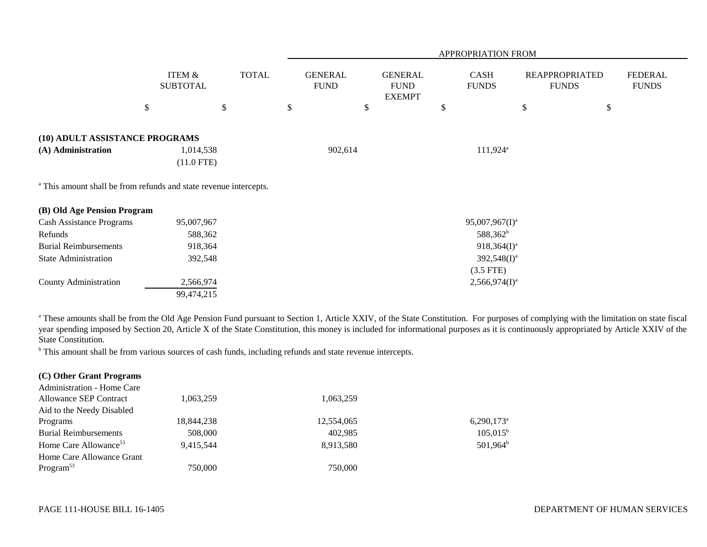|                                                                              |                                      |              |                               |                                                |               | APPROPRIATION FROM          |                                       |                                |
|------------------------------------------------------------------------------|--------------------------------------|--------------|-------------------------------|------------------------------------------------|---------------|-----------------------------|---------------------------------------|--------------------------------|
|                                                                              | <b>ITEM &amp;</b><br><b>SUBTOTAL</b> | <b>TOTAL</b> | <b>GENERAL</b><br><b>FUND</b> | <b>GENERAL</b><br><b>FUND</b><br><b>EXEMPT</b> |               | <b>CASH</b><br><b>FUNDS</b> | <b>REAPPROPRIATED</b><br><b>FUNDS</b> | <b>FEDERAL</b><br><b>FUNDS</b> |
|                                                                              | \$                                   | \$           | \$<br>\$                      |                                                | $\mathcal{S}$ |                             | \$                                    | \$                             |
| (10) ADULT ASSISTANCE PROGRAMS                                               |                                      |              |                               |                                                |               |                             |                                       |                                |
| (A) Administration                                                           | 1,014,538<br>$(11.0$ FTE)            |              | 902,614                       |                                                |               | $111,924$ <sup>a</sup>      |                                       |                                |
| <sup>a</sup> This amount shall be from refunds and state revenue intercepts. |                                      |              |                               |                                                |               |                             |                                       |                                |
| (B) Old Age Pension Program                                                  |                                      |              |                               |                                                |               |                             |                                       |                                |
| <b>Cash Assistance Programs</b>                                              | 95,007,967                           |              |                               |                                                |               | $95,007,967(1)^a$           |                                       |                                |
| Refunds                                                                      | 588,362                              |              |                               |                                                |               | 588,362 <sup>b</sup>        |                                       |                                |
| <b>Burial Reimbursements</b>                                                 | 918,364                              |              |                               |                                                |               | $918,364(I)^a$              |                                       |                                |
| <b>State Administration</b>                                                  | 392,548                              |              |                               |                                                |               | $392,548(1)^a$              |                                       |                                |
|                                                                              |                                      |              |                               |                                                |               | $(3.5$ FTE)                 |                                       |                                |
| County Administration                                                        | 2,566,974                            |              |                               |                                                |               | $2,566,974(I)^a$            |                                       |                                |
|                                                                              | 99,474,215                           |              |                               |                                                |               |                             |                                       |                                |

<sup>a</sup> These amounts shall be from the Old Age Pension Fund pursuant to Section 1, Article XXIV, of the State Constitution. For purposes of complying with the limitation on state fiscal year spending imposed by Section 20, Article X of the State Constitution, this money is included for informational purposes as it is continuously appropriated by Article XXIV of the State Constitution.

<sup>b</sup> This amount shall be from various sources of cash funds, including refunds and state revenue intercepts.

| (C) Other Grant Programs          |            |            |                          |
|-----------------------------------|------------|------------|--------------------------|
| <b>Administration - Home Care</b> |            |            |                          |
| Allowance SEP Contract            | 1.063.259  | 1,063,259  |                          |
| Aid to the Needy Disabled         |            |            |                          |
| Programs                          | 18,844,238 | 12,554,065 | $6,290,173$ <sup>a</sup> |
| <b>Burial Reimbursements</b>      | 508,000    | 402.985    | $105,015^{\rm b}$        |
| Home Care Allowance <sup>53</sup> | 9.415.544  | 8,913,580  | $501,964^{\rm b}$        |
| Home Care Allowance Grant         |            |            |                          |
| Program <sup>53</sup>             | 750,000    | 750,000    |                          |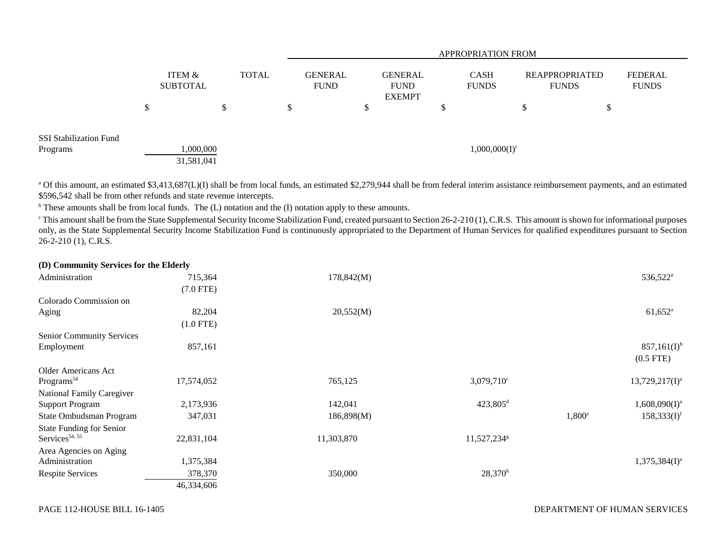|                               |                           |              |  | <b>APPROPRIATION FROM</b>     |  |                                         |  |   |  |                                                                      |     |                                |
|-------------------------------|---------------------------|--------------|--|-------------------------------|--|-----------------------------------------|--|---|--|----------------------------------------------------------------------|-----|--------------------------------|
|                               | ITEM &<br><b>SUBTOTAL</b> | <b>TOTAL</b> |  | <b>GENERAL</b><br><b>FUND</b> |  | GENERAL<br><b>FUND</b><br><b>EXEMPT</b> |  |   |  | <b>CASH</b><br><b>REAPPROPRIATED</b><br><b>FUNDS</b><br><b>FUNDS</b> |     | <b>FEDERAL</b><br><b>FUNDS</b> |
|                               |                           | D            |  |                               |  |                                         |  | ◡ |  | -7                                                                   | ۰Π. |                                |
| <b>SSI Stabilization Fund</b> |                           |              |  |                               |  |                                         |  |   |  |                                                                      |     |                                |
| Programs                      | 000,000.1                 |              |  | $1,000,000(I)^c$              |  |                                         |  |   |  |                                                                      |     |                                |
|                               | 31,581,041                |              |  |                               |  |                                         |  |   |  |                                                                      |     |                                |

<sup>a</sup> Of this amount, an estimated \$3,413,687(L)(I) shall be from local funds, an estimated \$2,279,944 shall be from federal interim assistance reimbursement payments, and an estimated \$596,542 shall be from other refunds and state revenue intercepts.

<sup>b</sup> These amounts shall be from local funds. The (L) notation and the (I) notation apply to these amounts.

 $\degree$ This amount shall be from the State Supplemental Security Income Stabilization Fund, created pursuant to Section 26-2-210 (1), C.R.S. This amount is shown for informational purposes only, as the State Supplemental Security Income Stabilization Fund is continuously appropriated to the Department of Human Services for qualified expenditures pursuant to Section  $26 - 2 - 210$  (1), C.R.S.

| (D) Community Services for the Eigerly |             |            |                         |                 |                                 |
|----------------------------------------|-------------|------------|-------------------------|-----------------|---------------------------------|
| Administration                         | 715,364     | 178,842(M) |                         |                 | 536,522 <sup>a</sup>            |
|                                        | $(7.0$ FTE) |            |                         |                 |                                 |
| Colorado Commission on                 |             |            |                         |                 |                                 |
| Aging                                  | 82,204      | 20,552(M)  |                         |                 | $61,652$ <sup>a</sup>           |
|                                        | $(1.0$ FTE) |            |                         |                 |                                 |
| <b>Senior Community Services</b>       |             |            |                         |                 |                                 |
| Employment                             | 857,161     |            |                         |                 | $857,161(I)^{b}$<br>$(0.5$ FTE) |
| Older Americans Act                    |             |            |                         |                 |                                 |
| Programs <sup>54</sup>                 | 17,574,052  | 765,125    | $3,079,710^{\circ}$     |                 | $13,729,217(I)^a$               |
| <b>National Family Caregiver</b>       |             |            |                         |                 |                                 |
| <b>Support Program</b>                 | 2,173,936   | 142,041    | 423,805 <sup>d</sup>    |                 | $1,608,090(I)^a$                |
| State Ombudsman Program                | 347,031     | 186,898(M) |                         | $1,800^{\circ}$ | 158,333(I) <sup>f</sup>         |
| <b>State Funding for Senior</b>        |             |            |                         |                 |                                 |
| Services <sup>54, 55</sup>             | 22,831,104  | 11,303,870 | 11,527,234 <sup>g</sup> |                 |                                 |
| Area Agencies on Aging                 |             |            |                         |                 |                                 |
| Administration                         | 1,375,384   |            |                         |                 | $1,375,384(I)^a$                |
| <b>Respite Services</b>                | 378,370     | 350,000    | $28,370^h$              |                 |                                 |
|                                        | 46,334,606  |            |                         |                 |                                 |

**(D) Community Services for the Elderly**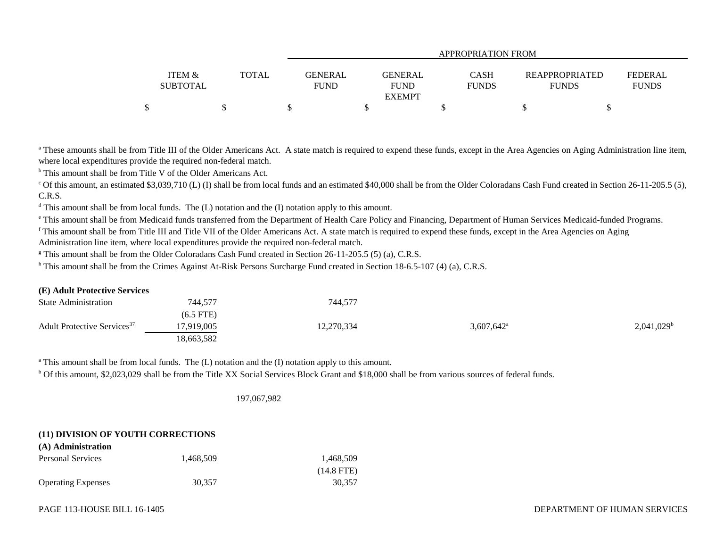|                   |              | APPROPRIATION FROM         |              |                       |                |  |  |  |  |  |  |
|-------------------|--------------|----------------------------|--------------|-----------------------|----------------|--|--|--|--|--|--|
| <b>ITEM &amp;</b> | <b>TOTAL</b> | GENERAL<br><b>GENERAL</b>  | <b>CASH</b>  | <b>REAPPROPRIATED</b> | <b>FEDERAL</b> |  |  |  |  |  |  |
| <b>SUBTOTAL</b>   |              | <b>FUND</b><br><b>FUND</b> | <b>FUNDS</b> | <b>FUNDS</b>          | <b>FUNDS</b>   |  |  |  |  |  |  |
|                   |              | <b>EXEMPT</b>              |              |                       |                |  |  |  |  |  |  |
|                   |              |                            |              |                       |                |  |  |  |  |  |  |

<sup>a</sup> These amounts shall be from Title III of the Older Americans Act. A state match is required to expend these funds, except in the Area Agencies on Aging Administration line item, where local expenditures provide the required non-federal match.

b This amount shall be from Title V of the Older Americans Act.

<sup>c</sup> Of this amount, an estimated \$3,039,710 (L) (I) shall be from local funds and an estimated \$40,000 shall be from the Older Coloradans Cash Fund created in Section 26-11-205.5 (5), C.R.S.

 $d$  This amount shall be from local funds. The (L) notation and the (I) notation apply to this amount.

<sup>e</sup> This amount shall be from Medicaid funds transferred from the Department of Health Care Policy and Financing, Department of Human Services Medicaid-funded Programs.

<sup>f</sup> This amount shall be from Title III and Title VII of the Older Americans Act. A state match is required to expend these funds, except in the Area Agencies on Aging Administration line item, where local expenditures provide the required non-federal match.

<sup>g</sup> This amount shall be from the Older Coloradans Cash Fund created in Section 26-11-205.5 (5) (a), C.R.S.

<sup>h</sup> This amount shall be from the Crimes Against At-Risk Persons Surcharge Fund created in Section 18-6.5-107 (4) (a), C.R.S.

## **(E) Adult Protective Services**

| <b>State Administration</b>             | 744,577     | 744,577    |                          |               |
|-----------------------------------------|-------------|------------|--------------------------|---------------|
|                                         | $(6.5$ FTE) |            |                          |               |
| Adult Protective Services <sup>37</sup> | 7,919,005   | 12,270,334 | $3,607,642$ <sup>a</sup> | $2,041,029^b$ |
|                                         | 18,663,582  |            |                          |               |

<sup>a</sup> This amount shall be from local funds. The (L) notation and the (I) notation apply to this amount.

<sup>b</sup> Of this amount, \$2,023,029 shall be from the Title XX Social Services Block Grant and \$18,000 shall be from various sources of federal funds.

197,067,982

## **(11) DIVISION OF YOUTH CORRECTIONS**

| (A) Administration        |           |              |
|---------------------------|-----------|--------------|
| Personal Services         | 1.468.509 | 1.468.509    |
|                           |           | $(14.8$ FTE) |
| <b>Operating Expenses</b> | 30.357    | 30.357       |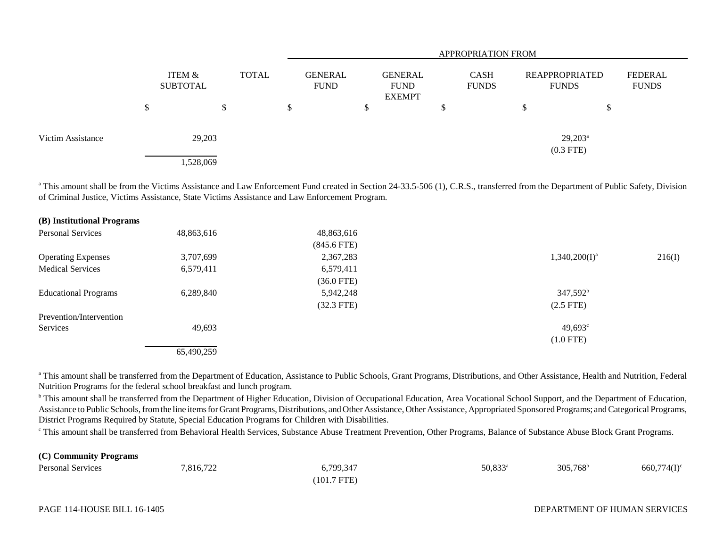|                   |   |                           |              |               | <b>APPROPRIATION FROM</b>     |   |                                         |    |                             |                                |                           |                         |  |
|-------------------|---|---------------------------|--------------|---------------|-------------------------------|---|-----------------------------------------|----|-----------------------------|--------------------------------|---------------------------|-------------------------|--|
|                   |   | ITEM &<br><b>SUBTOTAL</b> | <b>TOTAL</b> |               | <b>GENERAL</b><br><b>FUND</b> |   | GENERAL<br><b>FUND</b><br><b>EXEMPT</b> |    | <b>CASH</b><br><b>FUNDS</b> | REAPPROPRIATED<br><b>FUNDS</b> |                           | FEDERAL<br><b>FUNDS</b> |  |
|                   | ◡ |                           |              | <sup>\$</sup> |                               | J |                                         | \$ |                             | \$                             | D                         |                         |  |
| Victim Assistance |   | 29,203                    |              |               |                               |   |                                         |    |                             |                                | $29,203^a$<br>$(0.3$ FTE) |                         |  |
|                   |   | 1,528,069                 |              |               |                               |   |                                         |    |                             |                                |                           |                         |  |

<sup>a</sup> This amount shall be from the Victims Assistance and Law Enforcement Fund created in Section 24-33.5-506 (1), C.R.S., transferred from the Department of Public Safety, Division of Criminal Justice, Victims Assistance, State Victims Assistance and Law Enforcement Program.

| (B) Institutional Programs  |            |               |                  |        |
|-----------------------------|------------|---------------|------------------|--------|
| <b>Personal Services</b>    | 48,863,616 | 48,863,616    |                  |        |
|                             |            | $(845.6$ FTE) |                  |        |
| <b>Operating Expenses</b>   | 3,707,699  | 2,367,283     | $1,340,200(I)^a$ | 216(I) |
| <b>Medical Services</b>     | 6,579,411  | 6,579,411     |                  |        |
|                             |            | $(36.0$ FTE)  |                  |        |
| <b>Educational Programs</b> | 6,289,840  | 5,942,248     | $347,592^b$      |        |
|                             |            | $(32.3$ FTE)  | $(2.5$ FTE)      |        |
| Prevention/Intervention     |            |               |                  |        |
| Services                    | 49,693     |               | $49,693^{\circ}$ |        |
|                             |            |               | $(1.0$ FTE)      |        |
|                             | 65,490,259 |               |                  |        |

<sup>a</sup> This amount shall be transferred from the Department of Education, Assistance to Public Schools, Grant Programs, Distributions, and Other Assistance, Health and Nutrition, Federal Nutrition Programs for the federal school breakfast and lunch program.

<sup>b</sup> This amount shall be transferred from the Department of Higher Education, Division of Occupational Education, Area Vocational School Support, and the Department of Education, Assistance to Public Schools, from the line items for Grant Programs, Distributions, and Other Assistance, Other Assistance, Appropriated Sponsored Programs; and Categorical Programs, District Programs Required by Statute, Special Education Programs for Children with Disabilities.

<sup>c</sup> This amount shall be transferred from Behavioral Health Services, Substance Abuse Treatment Prevention, Other Programs, Balance of Substance Abuse Block Grant Programs.

| (C) Community Programs   |           |               |            |                   |                |
|--------------------------|-----------|---------------|------------|-------------------|----------------|
| <b>Personal Services</b> | 7,816,722 | 6,799,347     | $50,833^a$ | $305,768^{\rm b}$ | $660,774(I)^c$ |
|                          |           | $(101.7$ FTE) |            |                   |                |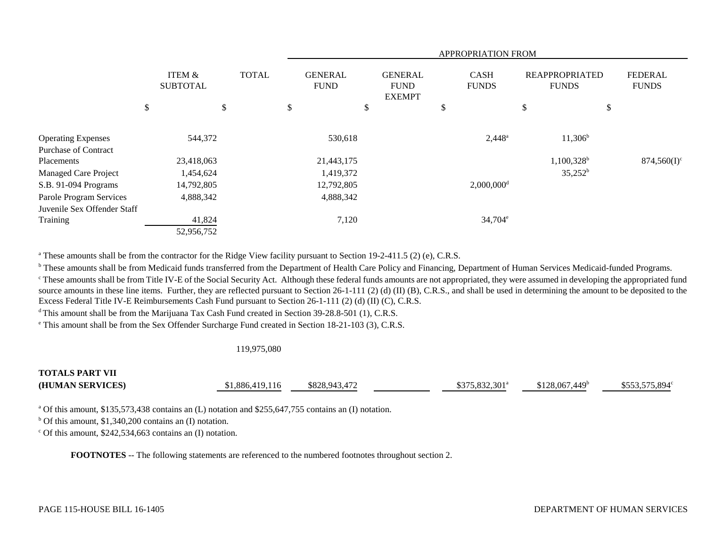|                             |                           |              | APPROPRIATION FROM            |            |    |                                                |                             |                          |                                       |               |    |                                |
|-----------------------------|---------------------------|--------------|-------------------------------|------------|----|------------------------------------------------|-----------------------------|--------------------------|---------------------------------------|---------------|----|--------------------------------|
|                             | ITEM &<br><b>SUBTOTAL</b> | <b>TOTAL</b> | <b>GENERAL</b><br><b>FUND</b> |            |    | <b>GENERAL</b><br><b>FUND</b><br><b>EXEMPT</b> | <b>CASH</b><br><b>FUNDS</b> |                          | <b>REAPPROPRIATED</b><br><b>FUNDS</b> |               |    | <b>FEDERAL</b><br><b>FUNDS</b> |
|                             | \$<br>\$                  |              | \$                            |            | \$ |                                                | \$                          |                          | \$                                    |               | \$ |                                |
| <b>Operating Expenses</b>   | 544,372                   |              |                               | 530,618    |    |                                                |                             | $2,448^{\circ}$          |                                       | $11,306^b$    |    |                                |
| <b>Purchase of Contract</b> |                           |              |                               |            |    |                                                |                             |                          |                                       |               |    |                                |
| Placements                  | 23,418,063                |              |                               | 21,443,175 |    |                                                |                             |                          |                                       | $1,100,328^b$ |    | $874,560(I)^c$                 |
| Managed Care Project        | 1,454,624                 |              |                               | 1,419,372  |    |                                                |                             |                          |                                       | $35,252^b$    |    |                                |
| S.B. 91-094 Programs        | 14,792,805                |              |                               | 12,792,805 |    |                                                |                             | $2,000,000$ <sup>d</sup> |                                       |               |    |                                |
| Parole Program Services     | 4,888,342                 |              |                               | 4,888,342  |    |                                                |                             |                          |                                       |               |    |                                |
| Juvenile Sex Offender Staff |                           |              |                               |            |    |                                                |                             |                          |                                       |               |    |                                |
| Training                    | 41,824                    |              |                               | 7,120      |    |                                                |                             | $34,704^e$               |                                       |               |    |                                |
|                             | 52,956,752                |              |                               |            |    |                                                |                             |                          |                                       |               |    |                                |

<sup>a</sup> These amounts shall be from the contractor for the Ridge View facility pursuant to Section 19-2-411.5 (2) (e), C.R.S.

<sup>b</sup> These amounts shall be from Medicaid funds transferred from the Department of Health Care Policy and Financing, Department of Human Services Medicaid-funded Programs.

<sup>c</sup> These amounts shall be from Title IV-E of the Social Security Act. Although these federal funds amounts are not appropriated, they were assumed in developing the appropriated fund source amounts in these line items. Further, they are reflected pursuant to Section 26-1-111 (2) (d) (II) (B), C.R.S., and shall be used in determining the amount to be deposited to the Excess Federal Title IV-E Reimbursements Cash Fund pursuant to Section 26-1-111 (2) (d) (II) (C), C.R.S.

<sup>d</sup> This amount shall be from the Marijuana Tax Cash Fund created in Section 39-28.8-501 (1), C.R.S.

e This amount shall be from the Sex Offender Surcharge Fund created in Section 18-21-103 (3), C.R.S.

#### 119,975,080

## **TOTALS PART VII(HUMAN SERVICES)** \$1,886,419,116 \$828,943,472 \$375,832,301<sup>a</sup> \$128,067,449<sup>b</sup> \$553,575,894<sup>c</sup>

a Of this amount, \$135,573,438 contains an (L) notation and \$255,647,755 contains an (I) notation.

 $b$  Of this amount, \$1,340,200 contains an (I) notation.

 $\degree$  Of this amount, \$242,534,663 contains an (I) notation.

**FOOTNOTES** -- The following statements are referenced to the numbered footnotes throughout section 2.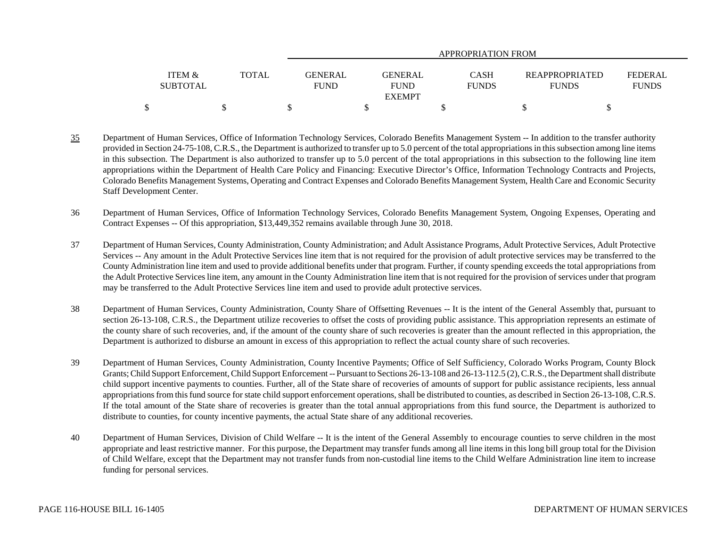|                   |       | APPROPRIATION FROM |               |              |  |                       |                |  |  |  |
|-------------------|-------|--------------------|---------------|--------------|--|-----------------------|----------------|--|--|--|
|                   |       |                    |               |              |  |                       |                |  |  |  |
| <b>ITEM &amp;</b> | TOTAL | GENERAL            | GENERAL       | CASH         |  | <b>REAPPROPRIATED</b> | <b>FEDERAL</b> |  |  |  |
| <b>SUBTOTAL</b>   |       | <b>FUND</b>        | <b>FUND</b>   | <b>FUNDS</b> |  | <b>FUNDS</b>          | <b>FUNDS</b>   |  |  |  |
|                   |       |                    | <b>EXEMPT</b> |              |  |                       |                |  |  |  |
|                   |       |                    |               |              |  |                       |                |  |  |  |

- 35 Department of Human Services, Office of Information Technology Services, Colorado Benefits Management System -- In addition to the transfer authority provided in Section 24-75-108, C.R.S., the Department is authorized to transfer up to 5.0 percent of the total appropriations in this subsection among line items in this subsection. The Department is also authorized to transfer up to 5.0 percent of the total appropriations in this subsection to the following line item appropriations within the Department of Health Care Policy and Financing: Executive Director's Office, Information Technology Contracts and Projects, Colorado Benefits Management Systems, Operating and Contract Expenses and Colorado Benefits Management System, Health Care and Economic Security Staff Development Center.
- 36 Department of Human Services, Office of Information Technology Services, Colorado Benefits Management System, Ongoing Expenses, Operating and Contract Expenses -- Of this appropriation, \$13,449,352 remains available through June 30, 2018.
- 37 Department of Human Services, County Administration, County Administration; and Adult Assistance Programs, Adult Protective Services, Adult Protective Services -- Any amount in the Adult Protective Services line item that is not required for the provision of adult protective services may be transferred to the County Administration line item and used to provide additional benefits under that program. Further, if county spending exceeds the total appropriations from the Adult Protective Services line item, any amount in the County Administration line item that is not required for the provision of services under that program may be transferred to the Adult Protective Services line item and used to provide adult protective services.
- 38 Department of Human Services, County Administration, County Share of Offsetting Revenues -- It is the intent of the General Assembly that, pursuant to section 26-13-108, C.R.S., the Department utilize recoveries to offset the costs of providing public assistance. This appropriation represents an estimate of the county share of such recoveries, and, if the amount of the county share of such recoveries is greater than the amount reflected in this appropriation, the Department is authorized to disburse an amount in excess of this appropriation to reflect the actual county share of such recoveries.
- 39 Department of Human Services, County Administration, County Incentive Payments; Office of Self Sufficiency, Colorado Works Program, County Block Grants; Child Support Enforcement, Child Support Enforcement -- Pursuant to Sections 26-13-108 and 26-13-112.5 (2), C.R.S., the Department shall distribute child support incentive payments to counties. Further, all of the State share of recoveries of amounts of support for public assistance recipients, less annual appropriations from this fund source for state child support enforcement operations, shall be distributed to counties, as described in Section 26-13-108, C.R.S. If the total amount of the State share of recoveries is greater than the total annual appropriations from this fund source, the Department is authorized to distribute to counties, for county incentive payments, the actual State share of any additional recoveries.
- 40 Department of Human Services, Division of Child Welfare -- It is the intent of the General Assembly to encourage counties to serve children in the most appropriate and least restrictive manner. For this purpose, the Department may transfer funds among all line items in this long bill group total for the Division of Child Welfare, except that the Department may not transfer funds from non-custodial line items to the Child Welfare Administration line item to increase funding for personal services.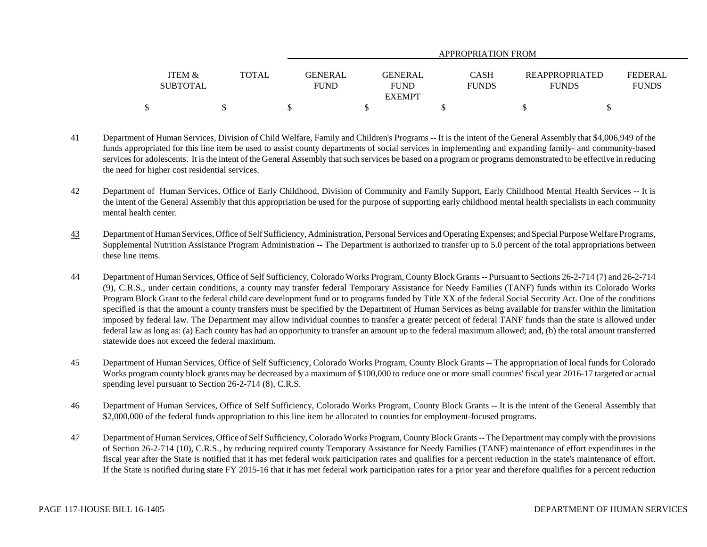|                   |              | APPROPRIATION FROM |                |              |                |                |  |  |  |  |  |
|-------------------|--------------|--------------------|----------------|--------------|----------------|----------------|--|--|--|--|--|
|                   |              |                    |                |              |                |                |  |  |  |  |  |
| <b>ITEM &amp;</b> | <b>TOTAL</b> | GENERAL            | <b>GENERAL</b> | CASH         | REAPPROPRIATED | <b>FEDERAL</b> |  |  |  |  |  |
| <b>SUBTOTAL</b>   |              | FUND               | <b>FUND</b>    | <b>FUNDS</b> | <b>FUNDS</b>   | <b>FUNDS</b>   |  |  |  |  |  |
|                   |              |                    | <b>EXEMPT</b>  |              |                |                |  |  |  |  |  |
|                   |              |                    |                |              |                |                |  |  |  |  |  |

- 41 Department of Human Services, Division of Child Welfare, Family and Children's Programs -- It is the intent of the General Assembly that \$4,006,949 of the funds appropriated for this line item be used to assist county departments of social services in implementing and expanding family- and community-based services for adolescents. It is the intent of the General Assembly that such services be based on a program or programs demonstrated to be effective in reducing the need for higher cost residential services.
- 42 Department of Human Services, Office of Early Childhood, Division of Community and Family Support, Early Childhood Mental Health Services -- It is the intent of the General Assembly that this appropriation be used for the purpose of supporting early childhood mental health specialists in each community mental health center.
- 43 Department of Human Services, Office of Self Sufficiency, Administration, Personal Services and Operating Expenses; and Special Purpose Welfare Programs, Supplemental Nutrition Assistance Program Administration -- The Department is authorized to transfer up to 5.0 percent of the total appropriations between these line items.
- 44 Department of Human Services, Office of Self Sufficiency, Colorado Works Program, County Block Grants -- Pursuant to Sections 26-2-714 (7) and 26-2-714 (9), C.R.S., under certain conditions, a county may transfer federal Temporary Assistance for Needy Families (TANF) funds within its Colorado Works Program Block Grant to the federal child care development fund or to programs funded by Title XX of the federal Social Security Act. One of the conditions specified is that the amount a county transfers must be specified by the Department of Human Services as being available for transfer within the limitation imposed by federal law. The Department may allow individual counties to transfer a greater percent of federal TANF funds than the state is allowed under federal law as long as: (a) Each county has had an opportunity to transfer an amount up to the federal maximum allowed; and, (b) the total amount transferred statewide does not exceed the federal maximum.
- 45 Department of Human Services, Office of Self Sufficiency, Colorado Works Program, County Block Grants -- The appropriation of local funds for Colorado Works program county block grants may be decreased by a maximum of \$100,000 to reduce one or more small counties' fiscal year 2016-17 targeted or actual spending level pursuant to Section 26-2-714 (8), C.R.S.
- 46 Department of Human Services, Office of Self Sufficiency, Colorado Works Program, County Block Grants -- It is the intent of the General Assembly that \$2,000,000 of the federal funds appropriation to this line item be allocated to counties for employment-focused programs.
- 47 Department of Human Services, Office of Self Sufficiency, Colorado Works Program, County Block Grants -- The Department may comply with the provisions of Section 26-2-714 (10), C.R.S., by reducing required county Temporary Assistance for Needy Families (TANF) maintenance of effort expenditures in the fiscal year after the State is notified that it has met federal work participation rates and qualifies for a percent reduction in the state's maintenance of effort. If the State is notified during state FY 2015-16 that it has met federal work participation rates for a prior year and therefore qualifies for a percent reduction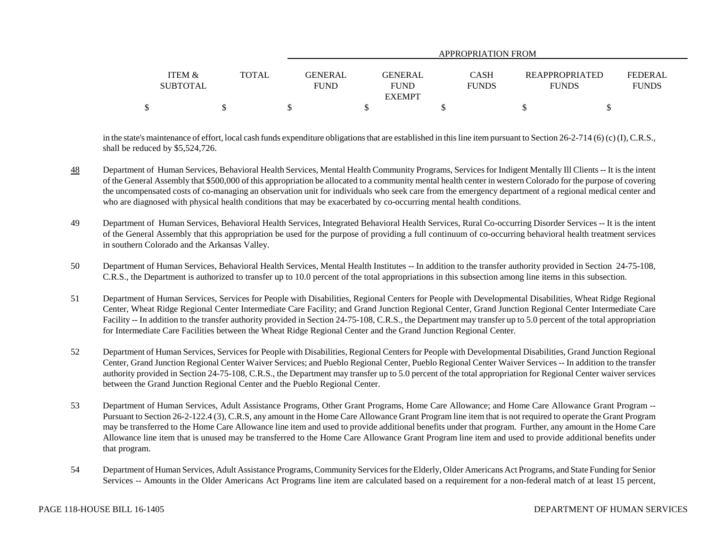|                   |              | APPROPRIATION FROM |                |              |                       |                |  |  |  |  |  |
|-------------------|--------------|--------------------|----------------|--------------|-----------------------|----------------|--|--|--|--|--|
|                   |              |                    |                |              |                       |                |  |  |  |  |  |
| <b>ITEM &amp;</b> | <b>TOTAL</b> | <b>GENERAL</b>     | <b>GENERAL</b> | CASH         | <b>REAPPROPRIATED</b> | <b>FEDERAL</b> |  |  |  |  |  |
| <b>SUBTOTAL</b>   |              | <b>FUND</b>        | <b>FUND</b>    | <b>FUNDS</b> | <b>FUNDS</b>          | <b>FUNDS</b>   |  |  |  |  |  |
|                   |              |                    | <b>EXEMPT</b>  |              |                       |                |  |  |  |  |  |
| \$                |              |                    |                |              |                       |                |  |  |  |  |  |

in the state's maintenance of effort, local cash funds expenditure obligations that are established in this line item pursuant to Section 26-2-714 (6) (c) (I), C.R.S., shall be reduced by \$5,524,726.

- 48 Department of Human Services, Behavioral Health Services, Mental Health Community Programs, Services for Indigent Mentally Ill Clients -- It is the intent of the General Assembly that \$500,000 of this appropriation be allocated to a community mental health center in western Colorado for the purpose of covering the uncompensated costs of co-managing an observation unit for individuals who seek care from the emergency department of a regional medical center and who are diagnosed with physical health conditions that may be exacerbated by co-occurring mental health conditions.
- 49 Department of Human Services, Behavioral Health Services, Integrated Behavioral Health Services, Rural Co-occurring Disorder Services -- It is the intent of the General Assembly that this appropriation be used for the purpose of providing a full continuum of co-occurring behavioral health treatment services in southern Colorado and the Arkansas Valley.
- 50 Department of Human Services, Behavioral Health Services, Mental Health Institutes -- In addition to the transfer authority provided in Section 24-75-108, C.R.S., the Department is authorized to transfer up to 10.0 percent of the total appropriations in this subsection among line items in this subsection.
- 51 Department of Human Services, Services for People with Disabilities, Regional Centers for People with Developmental Disabilities, Wheat Ridge Regional Center, Wheat Ridge Regional Center Intermediate Care Facility; and Grand Junction Regional Center, Grand Junction Regional Center Intermediate Care Facility -- In addition to the transfer authority provided in Section 24-75-108, C.R.S., the Department may transfer up to 5.0 percent of the total appropriation for Intermediate Care Facilities between the Wheat Ridge Regional Center and the Grand Junction Regional Center.
- 52 Department of Human Services, Services for People with Disabilities, Regional Centers for People with Developmental Disabilities, Grand Junction Regional Center, Grand Junction Regional Center Waiver Services; and Pueblo Regional Center, Pueblo Regional Center Waiver Services -- In addition to the transfer authority provided in Section 24-75-108, C.R.S., the Department may transfer up to 5.0 percent of the total appropriation for Regional Center waiver services between the Grand Junction Regional Center and the Pueblo Regional Center.
- 53 Department of Human Services, Adult Assistance Programs, Other Grant Programs, Home Care Allowance; and Home Care Allowance Grant Program -- Pursuant to Section 26-2-122.4 (3), C.R.S, any amount in the Home Care Allowance Grant Program line item that is not required to operate the Grant Program may be transferred to the Home Care Allowance line item and used to provide additional benefits under that program. Further, any amount in the Home Care Allowance line item that is unused may be transferred to the Home Care Allowance Grant Program line item and used to provide additional benefits under that program.
- 54 Department of Human Services, Adult Assistance Programs, Community Services for the Elderly, Older Americans Act Programs, and State Funding for Senior Services -- Amounts in the Older Americans Act Programs line item are calculated based on a requirement for a non-federal match of at least 15 percent,